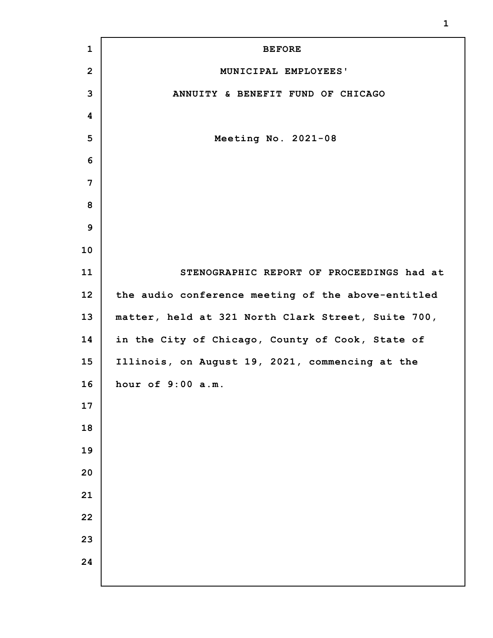| $\mathbf{1}$    | <b>BEFORE</b>                                      |
|-----------------|----------------------------------------------------|
| $\overline{2}$  | MUNICIPAL EMPLOYEES'                               |
| 3               | ANNUITY & BENEFIT FUND OF CHICAGO                  |
| 4               |                                                    |
| 5               | Meeting No. 2021-08                                |
| 6               |                                                    |
| 7               |                                                    |
| 8               |                                                    |
| 9               |                                                    |
| 10              |                                                    |
| 11              | STENOGRAPHIC REPORT OF PROCEEDINGS had at          |
| 12 <sub>2</sub> | the audio conference meeting of the above-entitled |
| 13              | matter, held at 321 North Clark Street, Suite 700, |
| 14              | in the City of Chicago, County of Cook, State of   |
| 15              | Illinois, on August 19, 2021, commencing at the    |
| 16              | hour of 9:00 a.m.                                  |
| 17              |                                                    |
| 18              |                                                    |
| 19              |                                                    |
| 20              |                                                    |
| 21              |                                                    |
| 22              |                                                    |
| 23              |                                                    |
| 24              |                                                    |
|                 |                                                    |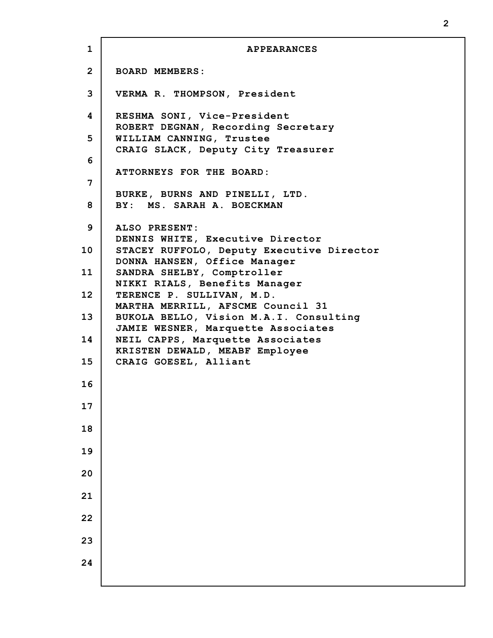**1 2 3 4 5 6 7 8 9 10 11 12 13 14 15 16 17 18 19 20 21 22 23 24 APPEARANCES BOARD MEMBERS: VERMA R. THOMPSON, President RESHMA SONI, Vice-President ROBERT DEGNAN, Recording Secretary WILLIAM CANNING, Trustee CRAIG SLACK, Deputy City Treasurer ATTORNEYS FOR THE BOARD: BURKE, BURNS AND PINELLI, LTD. BY: MS. SARAH A. BOECKMAN ALSO PRESENT: DENNIS WHITE, Executive Director STACEY RUFFOLO, Deputy Executive Director DONNA HANSEN, Office Manager SANDRA SHELBY, Comptroller NIKKI RIALS, Benefits Manager TERENCE P. SULLIVAN, M.D. MARTHA MERRILL, AFSCME Council 31 BUKOLA BELLO, Vision M.A.I. Consulting JAMIE WESNER, Marquette Associates NEIL CAPPS, Marquette Associates KRISTEN DEWALD, MEABF Employee CRAIG GOESEL, Alliant**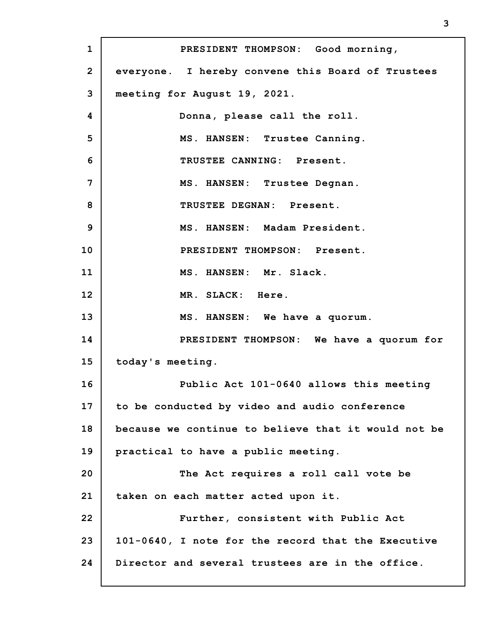**1 2 3 4 5 6 7 8 9 10 11 12 13 14 15 16 17 18 19 20 21 22 23 24 PRESIDENT THOMPSON: Good morning, everyone. I hereby convene this Board of Trustees meeting for August 19, 2021. Donna, please call the roll. MS. HANSEN: Trustee Canning. TRUSTEE CANNING: Present. MS. HANSEN: Trustee Degnan. TRUSTEE DEGNAN: Present. MS. HANSEN: Madam President. PRESIDENT THOMPSON: Present. MS. HANSEN: Mr. Slack. MR. SLACK: Here. MS. HANSEN: We have a quorum. PRESIDENT THOMPSON: We have a quorum for today's meeting. Public Act 101-0640 allows this meeting to be conducted by video and audio conference because we continue to believe that it would not be practical to have a public meeting. The Act requires a roll call vote be taken on each matter acted upon it. Further, consistent with Public Act 101-0640, I note for the record that the Executive Director and several trustees are in the office.**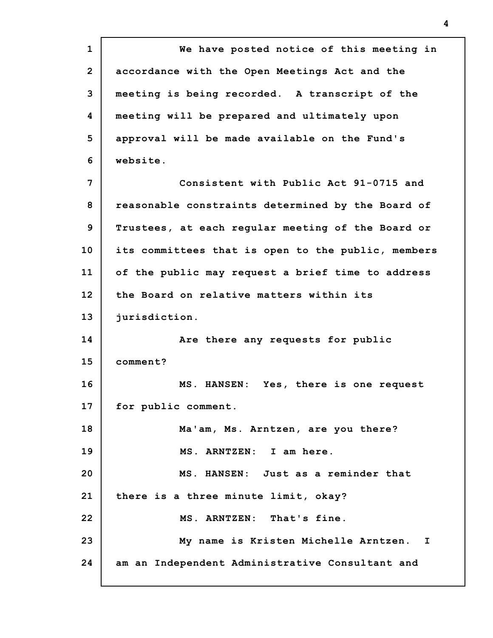**1 2 3 4 5 6 7 8 9 10 11 12 13 14 15 16 17 18 19 20 21 22 23 24 We have posted notice of this meeting in accordance with the Open Meetings Act and the meeting is being recorded. A transcript of the meeting will be prepared and ultimately upon approval will be made available on the Fund's website. Consistent with Public Act 91-0715 and reasonable constraints determined by the Board of Trustees, at each regular meeting of the Board or its committees that is open to the public, members of the public may request a brief time to address the Board on relative matters within its jurisdiction. Are there any requests for public comment? MS. HANSEN: Yes, there is one request for public comment. Ma'am, Ms. Arntzen, are you there? MS. ARNTZEN: I am here. MS. HANSEN: Just as a reminder that there is a three minute limit, okay? MS. ARNTZEN: That's fine. My name is Kristen Michelle Arntzen. I am an Independent Administrative Consultant and**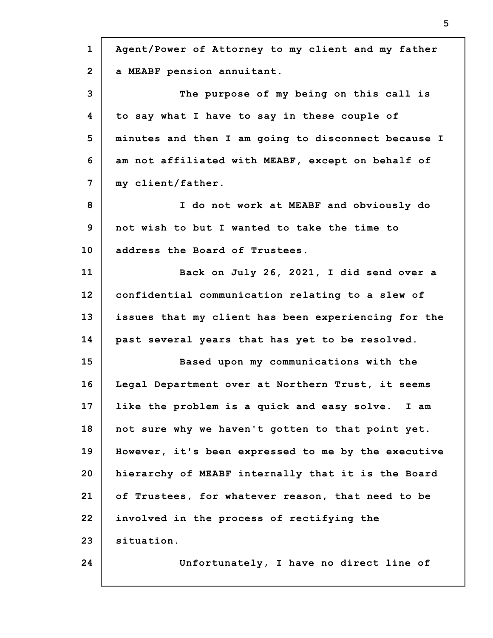| $\mathbf{1}$   | Agent/Power of Attorney to my client and my father  |
|----------------|-----------------------------------------------------|
| $\overline{2}$ | a MEABF pension annuitant.                          |
| 3              | The purpose of my being on this call is             |
| 4              | to say what I have to say in these couple of        |
| 5              | minutes and then I am going to disconnect because I |
| 6              | am not affiliated with MEABF, except on behalf of   |
| 7              | my client/father.                                   |
| 8              | I do not work at MEABF and obviously do             |
| 9              | not wish to but I wanted to take the time to        |
| 10             | address the Board of Trustees.                      |
| 11             | Back on July 26, 2021, I did send over a            |
| 12             | confidential communication relating to a slew of    |
| 13             | issues that my client has been experiencing for the |
| 14             | past several years that has yet to be resolved.     |
| 15             | Based upon my communications with the               |
| 16             | Legal Department over at Northern Trust, it seems   |
| 17             | like the problem is a quick and easy solve. I am    |
| 18             | not sure why we haven't gotten to that point yet.   |
| 19             | However, it's been expressed to me by the executive |
| 20             | hierarchy of MEABF internally that it is the Board  |
| 21             | of Trustees, for whatever reason, that need to be   |
| 22             | involved in the process of rectifying the           |
| 23             | situation.                                          |
| 24             | Unfortunately, I have no direct line of             |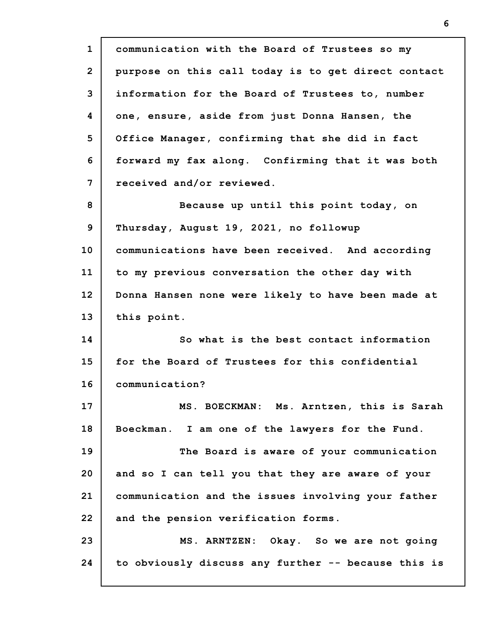**1 2 3 4 5 6 7 8 9 10 11 12 13 14 15 16 17 18 19 20 21 22 23 24 communication with the Board of Trustees so my purpose on this call today is to get direct contact information for the Board of Trustees to, number one, ensure, aside from just Donna Hansen, the Office Manager, confirming that she did in fact forward my fax along. Confirming that it was both received and/or reviewed. Because up until this point today, on Thursday, August 19, 2021, no followup communications have been received. And according to my previous conversation the other day with Donna Hansen none were likely to have been made at this point. So what is the best contact information for the Board of Trustees for this confidential communication? MS. BOECKMAN: Ms. Arntzen, this is Sarah Boeckman. I am one of the lawyers for the Fund. The Board is aware of your communication and so I can tell you that they are aware of your communication and the issues involving your father and the pension verification forms. MS. ARNTZEN: Okay. So we are not going to obviously discuss any further -- because this is**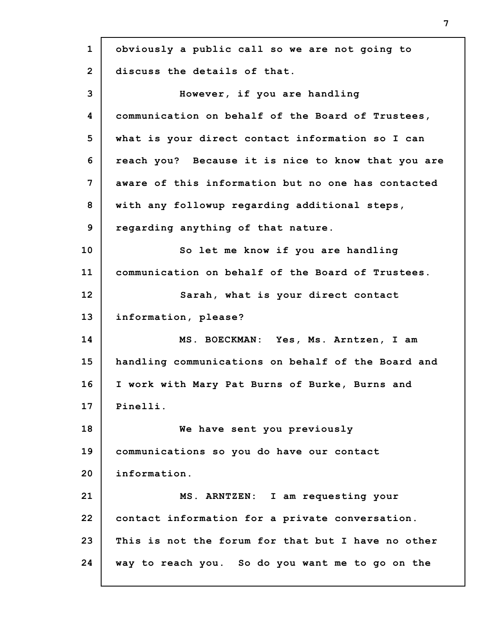| $\mathbf{1}$   | obviously a public call so we are not going to     |
|----------------|----------------------------------------------------|
| $\overline{2}$ | discuss the details of that.                       |
| 3              | However, if you are handling                       |
| 4              | communication on behalf of the Board of Trustees,  |
| 5              | what is your direct contact information so I can   |
| 6              | reach you? Because it is nice to know that you are |
| 7              | aware of this information but no one has contacted |
| 8              | with any followup regarding additional steps,      |
| 9              | regarding anything of that nature.                 |
| 10             | So let me know if you are handling                 |
| 11             | communication on behalf of the Board of Trustees.  |
| 12             | Sarah, what is your direct contact                 |
| 13             | information, please?                               |
| 14             | MS. BOECKMAN: Yes, Ms. Arntzen, I am               |
| 15             | handling communications on behalf of the Board and |
| 16             | I work with Mary Pat Burns of Burke, Burns and     |
| 17             | Pinelli.                                           |
| 18             | We have sent you previously                        |
| 19             | communications so you do have our contact          |
| 20             | information.                                       |
| 21             | MS. ARNTZEN: I am requesting your                  |
| 22             | contact information for a private conversation.    |
| 23             | This is not the forum for that but I have no other |
| 24             | way to reach you. So do you want me to go on the   |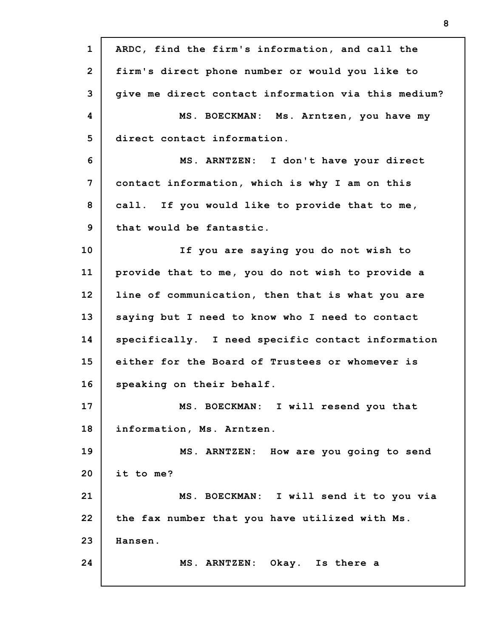| $\mathbf{1}$   | ARDC, find the firm's information, and call the     |
|----------------|-----------------------------------------------------|
| $\overline{2}$ | firm's direct phone number or would you like to     |
| 3              | give me direct contact information via this medium? |
| 4              | MS. BOECKMAN: Ms. Arntzen, you have my              |
| 5              | direct contact information.                         |
| 6              | MS. ARNTZEN: I don't have your direct               |
| 7              | contact information, which is why I am on this      |
| 8              | call. If you would like to provide that to me,      |
| 9              | that would be fantastic.                            |
| 10             | If you are saying you do not wish to                |
| 11             | provide that to me, you do not wish to provide a    |
| 12             | line of communication, then that is what you are    |
| 13             | saying but I need to know who I need to contact     |
| 14             | specifically. I need specific contact information   |
| 15             | either for the Board of Trustees or whomever is     |
| 16             | speaking on their behalf.                           |
| 17             | MS. BOECKMAN: I will resend you that                |
| 18             | information, Ms. Arntzen.                           |
| 19             | MS. ARNTZEN: How are you going to send              |
| 20             | it to me?                                           |
| 21             | MS. BOECKMAN: I will send it to you via             |
| 22             | the fax number that you have utilized with Ms.      |
| 23             | Hansen.                                             |
| 24             | MS. ARNTZEN: Okay. Is there a                       |
|                |                                                     |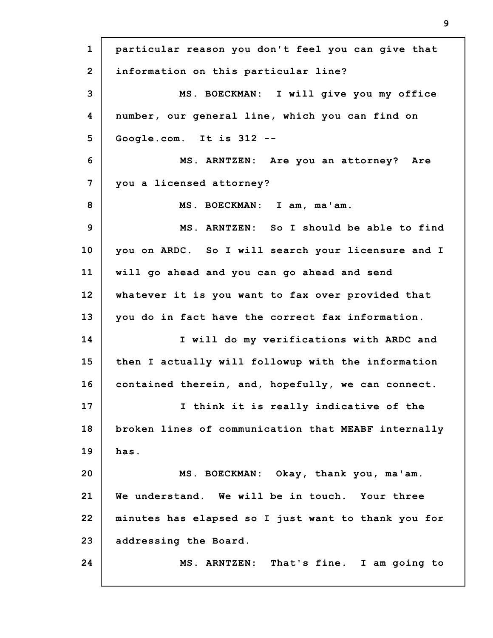**1 2 3 4 5 6 7 8 9 10 11 12 13 14 15 16 17 18 19 20 21 22 23 24 particular reason you don't feel you can give that information on this particular line? MS. BOECKMAN: I will give you my office number, our general line, which you can find on Google.com. It is 312 -- MS. ARNTZEN: Are you an attorney? Are you a licensed attorney? MS. BOECKMAN: I am, ma'am. MS. ARNTZEN: So I should be able to find you on ARDC. So I will search your licensure and I will go ahead and you can go ahead and send whatever it is you want to fax over provided that you do in fact have the correct fax information. I will do my verifications with ARDC and then I actually will followup with the information contained therein, and, hopefully, we can connect. I think it is really indicative of the broken lines of communication that MEABF internally has. MS. BOECKMAN: Okay, thank you, ma'am. We understand. We will be in touch. Your three minutes has elapsed so I just want to thank you for addressing the Board. MS. ARNTZEN: That's fine. I am going to**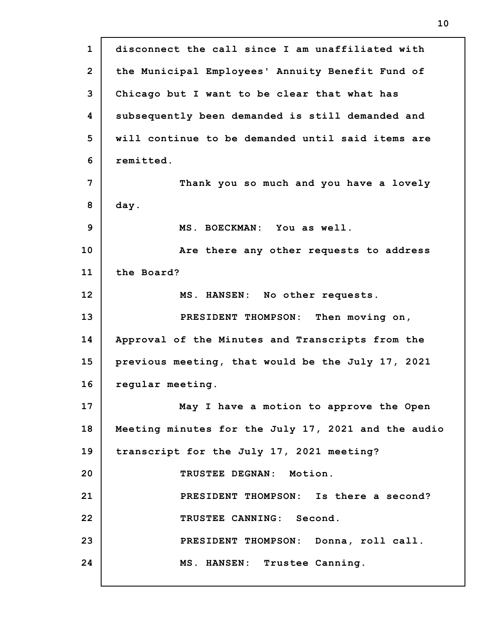**1 2 3 4 5 6 7 8 9 10 11 12 13 14 15 16 17 18 19 20 21 22 23 24 disconnect the call since I am unaffiliated with the Municipal Employees' Annuity Benefit Fund of Chicago but I want to be clear that what has subsequently been demanded is still demanded and will continue to be demanded until said items are remitted. Thank you so much and you have a lovely day. MS. BOECKMAN: You as well. Are there any other requests to address the Board? MS. HANSEN: No other requests. PRESIDENT THOMPSON: Then moving on, Approval of the Minutes and Transcripts from the previous meeting, that would be the July 17, 2021 regular meeting. May I have a motion to approve the Open Meeting minutes for the July 17, 2021 and the audio transcript for the July 17, 2021 meeting? TRUSTEE DEGNAN: Motion. PRESIDENT THOMPSON: Is there a second? TRUSTEE CANNING: Second. PRESIDENT THOMPSON: Donna, roll call. MS. HANSEN: Trustee Canning.**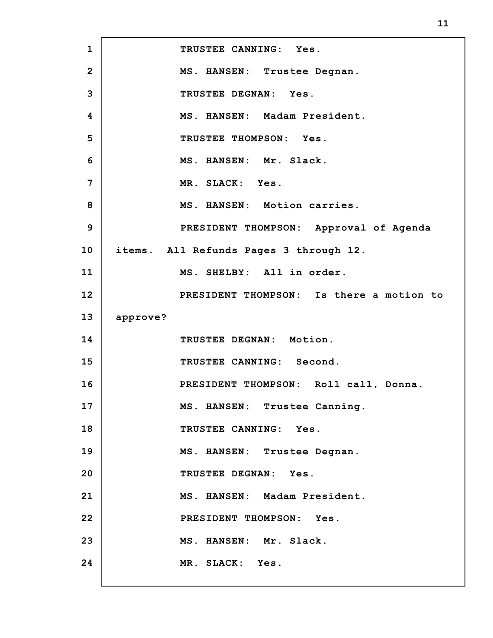**1 2 3 4 5 6 7 8 9 10 11 12 13 14 15 16 17 18 19 20 21 22 23 24 TRUSTEE CANNING: Yes. MS. HANSEN: Trustee Degnan. TRUSTEE DEGNAN: Yes. MS. HANSEN: Madam President. TRUSTEE THOMPSON: Yes. MS. HANSEN: Mr. Slack. MR. SLACK: Yes. MS. HANSEN: Motion carries. PRESIDENT THOMPSON: Approval of Agenda items. All Refunds Pages 3 through 12. MS. SHELBY: All in order. PRESIDENT THOMPSON: Is there a motion to approve? TRUSTEE DEGNAN: Motion. TRUSTEE CANNING: Second. PRESIDENT THOMPSON: Roll call, Donna. MS. HANSEN: Trustee Canning. TRUSTEE CANNING: Yes. MS. HANSEN: Trustee Degnan. TRUSTEE DEGNAN: Yes. MS. HANSEN: Madam President. PRESIDENT THOMPSON: Yes. MS. HANSEN: Mr. Slack. MR. SLACK: Yes.**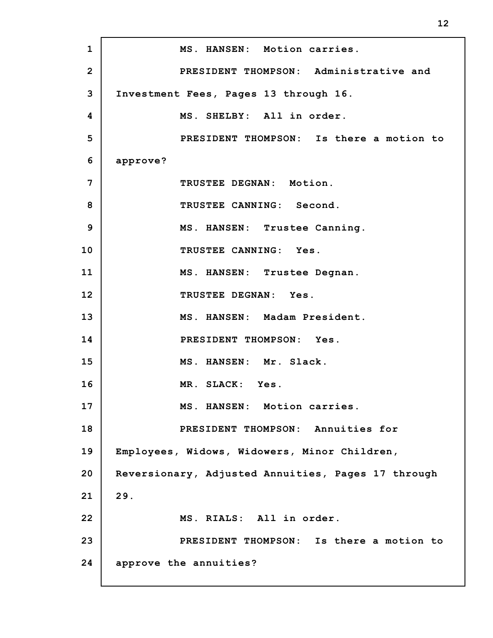**1 2 3 4 5 6 7 8 9 10 11 12 13 14 15 16 17 18 19 20 21 22 23 24 MS. HANSEN: Motion carries. PRESIDENT THOMPSON: Administrative and Investment Fees, Pages 13 through 16. MS. SHELBY: All in order. PRESIDENT THOMPSON: Is there a motion to approve? TRUSTEE DEGNAN: Motion. TRUSTEE CANNING: Second. MS. HANSEN: Trustee Canning. TRUSTEE CANNING: Yes. MS. HANSEN: Trustee Degnan. TRUSTEE DEGNAN: Yes. MS. HANSEN: Madam President. PRESIDENT THOMPSON: Yes. MS. HANSEN: Mr. Slack. MR. SLACK: Yes. MS. HANSEN: Motion carries. PRESIDENT THOMPSON: Annuities for Employees, Widows, Widowers, Minor Children, Reversionary, Adjusted Annuities, Pages 17 through 29. MS. RIALS: All in order. PRESIDENT THOMPSON: Is there a motion to approve the annuities?**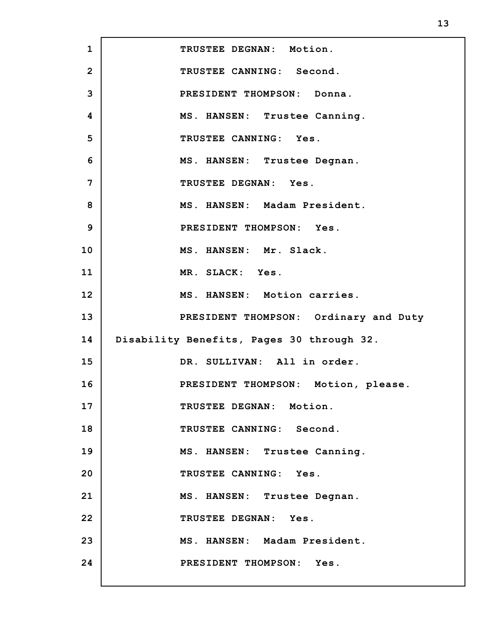**1 2 3 4 5 6 7 8 9 10 11 12 13 14 15 16 17 18 19 20 21 22 23 24 TRUSTEE DEGNAN: Motion. TRUSTEE CANNING: Second. PRESIDENT THOMPSON: Donna. MS. HANSEN: Trustee Canning. TRUSTEE CANNING: Yes. MS. HANSEN: Trustee Degnan. TRUSTEE DEGNAN: Yes. MS. HANSEN: Madam President. PRESIDENT THOMPSON: Yes. MS. HANSEN: Mr. Slack. MR. SLACK: Yes. MS. HANSEN: Motion carries. PRESIDENT THOMPSON: Ordinary and Duty Disability Benefits, Pages 30 through 32. DR. SULLIVAN: All in order. PRESIDENT THOMPSON: Motion, please. TRUSTEE DEGNAN: Motion. TRUSTEE CANNING: Second. MS. HANSEN: Trustee Canning. TRUSTEE CANNING: Yes. MS. HANSEN: Trustee Degnan. TRUSTEE DEGNAN: Yes. MS. HANSEN: Madam President. PRESIDENT THOMPSON: Yes.**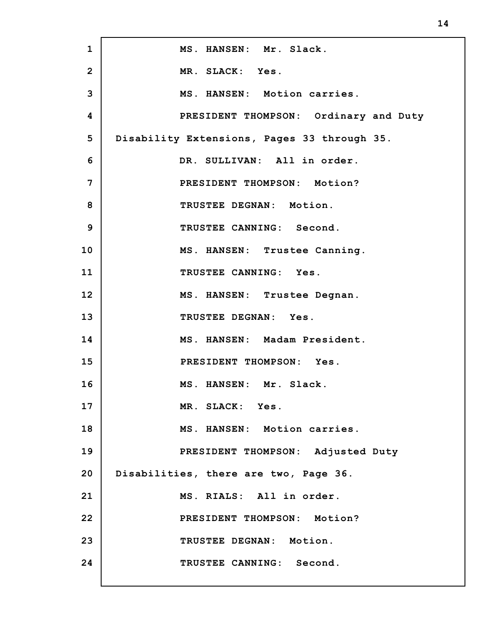| $\mathbf{1}$   | MS. HANSEN: Mr. Slack.                      |
|----------------|---------------------------------------------|
| $\overline{2}$ | MR. SLACK: Yes.                             |
| 3              | MS. HANSEN: Motion carries.                 |
| 4              | PRESIDENT THOMPSON: Ordinary and Duty       |
| 5              | Disability Extensions, Pages 33 through 35. |
| 6              | DR. SULLIVAN: All in order.                 |
| 7              | PRESIDENT THOMPSON: Motion?                 |
| 8              | TRUSTEE DEGNAN: Motion.                     |
| 9              | TRUSTEE CANNING: Second.                    |
| 10             | MS. HANSEN: Trustee Canning.                |
| 11             | TRUSTEE CANNING: Yes.                       |
| 12             | MS. HANSEN: Trustee Degnan.                 |
| 13             | TRUSTEE DEGNAN: Yes.                        |
| 14             | MS. HANSEN: Madam President.                |
| 15             | PRESIDENT THOMPSON: Yes.                    |
| 16             | MS. HANSEN: Mr. Slack.                      |
| 17             | MR. SLACK: Yes.                             |
| 18             | MS. HANSEN: Motion carries.                 |
| 19             | PRESIDENT THOMPSON: Adjusted Duty           |
| 20             | Disabilities, there are two, Page 36.       |
| 21             | MS. RIALS: All in order.                    |
| 22             | PRESIDENT THOMPSON: Motion?                 |
| 23             | TRUSTEE DEGNAN: Motion.                     |
| 24             | TRUSTEE CANNING: Second.                    |
|                |                                             |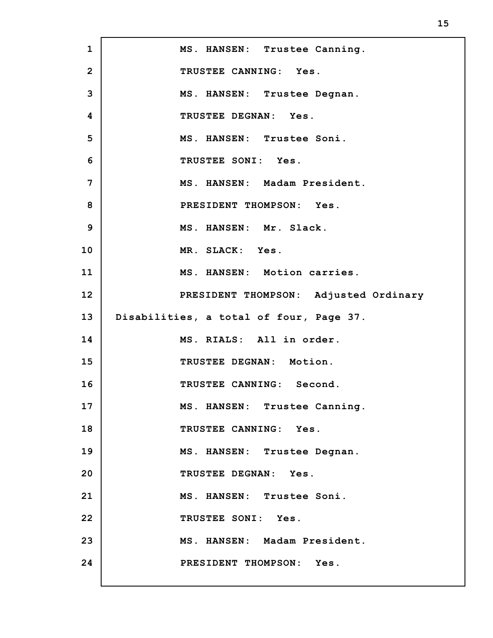**1 2 3 4 5 6 7 8 9 10 11 12 13 14 15 16 17 18 19 20 21 22 23 24 MS. HANSEN: Trustee Canning. TRUSTEE CANNING: Yes. MS. HANSEN: Trustee Degnan. TRUSTEE DEGNAN: Yes. MS. HANSEN: Trustee Soni. TRUSTEE SONI: Yes. MS. HANSEN: Madam President. PRESIDENT THOMPSON: Yes. MS. HANSEN: Mr. Slack. MR. SLACK: Yes. MS. HANSEN: Motion carries. PRESIDENT THOMPSON: Adjusted Ordinary Disabilities, a total of four, Page 37. MS. RIALS: All in order. TRUSTEE DEGNAN: Motion. TRUSTEE CANNING: Second. MS. HANSEN: Trustee Canning. TRUSTEE CANNING: Yes. MS. HANSEN: Trustee Degnan. TRUSTEE DEGNAN: Yes. MS. HANSEN: Trustee Soni. TRUSTEE SONI: Yes. MS. HANSEN: Madam President. PRESIDENT THOMPSON: Yes.**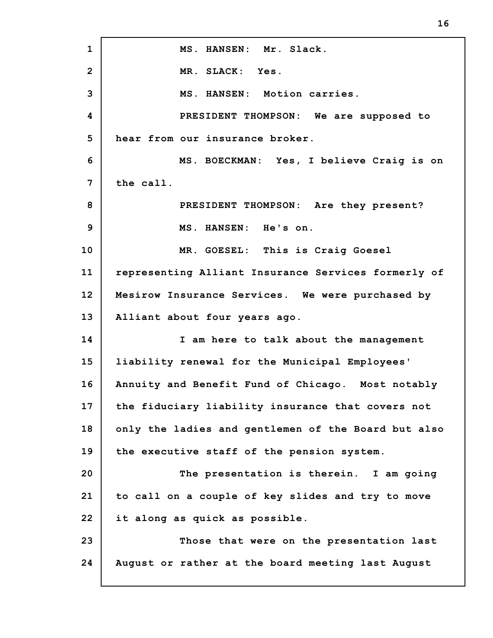**1 2 3 4 5 6 7 8 9 10 11 12 13 14 15 16 17 18 19 20 21 22 23 24 MS. HANSEN: Mr. Slack. MR. SLACK: Yes. MS. HANSEN: Motion carries. PRESIDENT THOMPSON: We are supposed to hear from our insurance broker. MS. BOECKMAN: Yes, I believe Craig is on the call. PRESIDENT THOMPSON: Are they present? MS. HANSEN: He's on. MR. GOESEL: This is Craig Goesel representing Alliant Insurance Services formerly of Mesirow Insurance Services. We were purchased by Alliant about four years ago. I am here to talk about the management liability renewal for the Municipal Employees' Annuity and Benefit Fund of Chicago. Most notably the fiduciary liability insurance that covers not only the ladies and gentlemen of the Board but also the executive staff of the pension system. The presentation is therein. I am going to call on a couple of key slides and try to move it along as quick as possible. Those that were on the presentation last August or rather at the board meeting last August**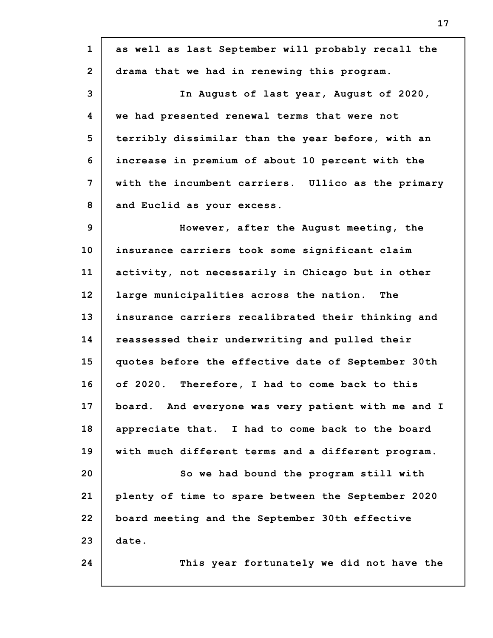| $\mathbf{1}$   | as well as last September will probably recall the |
|----------------|----------------------------------------------------|
| $\overline{2}$ | drama that we had in renewing this program.        |
| 3              | In August of last year, August of 2020,            |
| 4              | we had presented renewal terms that were not       |
| 5              | terribly dissimilar than the year before, with an  |
| 6              | increase in premium of about 10 percent with the   |
| $\overline{7}$ | with the incumbent carriers. Ullico as the primary |
| 8              | and Euclid as your excess.                         |
| 9              | However, after the August meeting, the             |
| 10             | insurance carriers took some significant claim     |
| 11             | activity, not necessarily in Chicago but in other  |
| 12             | large municipalities across the nation. The        |
| 13             | insurance carriers recalibrated their thinking and |
| 14             | reassessed their underwriting and pulled their     |
| 15             | quotes before the effective date of September 30th |
| 16             | of 2020. Therefore, I had to come back to this     |
| 17             | board. And everyone was very patient with me and I |
| 18             | appreciate that. I had to come back to the board   |
| 19             | with much different terms and a different program. |
| 20             | So we had bound the program still with             |
| 21             | plenty of time to spare between the September 2020 |
| 22             | board meeting and the September 30th effective     |
| 23             | date.                                              |
| 24             | This year fortunately we did not have the          |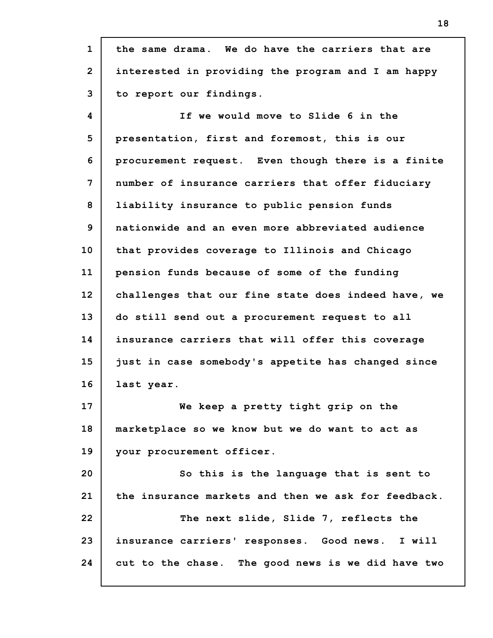**1 2 3 4 5 6 7 8 9 10 11 12 13 14 15 16 17 18 19 20 21 22 23 24 the same drama. We do have the carriers that are interested in providing the program and I am happy to report our findings. If we would move to Slide 6 in the presentation, first and foremost, this is our procurement request. Even though there is a finite number of insurance carriers that offer fiduciary liability insurance to public pension funds nationwide and an even more abbreviated audience that provides coverage to Illinois and Chicago pension funds because of some of the funding challenges that our fine state does indeed have, we do still send out a procurement request to all insurance carriers that will offer this coverage just in case somebody's appetite has changed since last year. We keep a pretty tight grip on the marketplace so we know but we do want to act as your procurement officer. So this is the language that is sent to the insurance markets and then we ask for feedback. The next slide, Slide 7, reflects the insurance carriers' responses. Good news. I will cut to the chase. The good news is we did have two**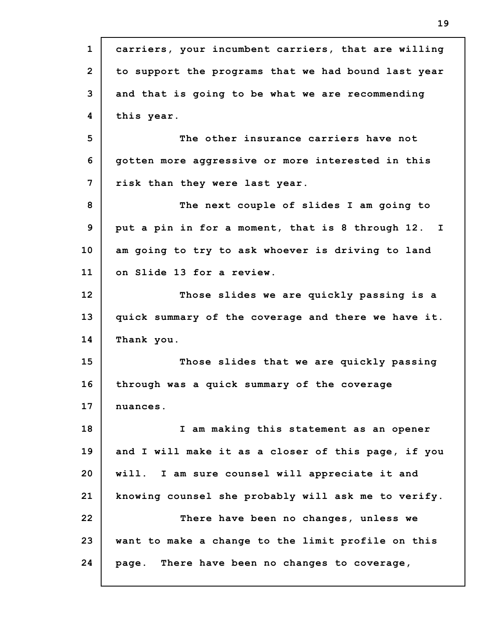| $\mathbf{1}$   | carriers, your incumbent carriers, that are willing |
|----------------|-----------------------------------------------------|
| $\overline{2}$ | to support the programs that we had bound last year |
| 3              | and that is going to be what we are recommending    |
| 4              | this year.                                          |
| 5              | The other insurance carriers have not               |
| 6              | gotten more aggressive or more interested in this   |
| $\overline{7}$ | risk than they were last year.                      |
| 8              | The next couple of slides I am going to             |
| 9              | put a pin in for a moment, that is 8 through 12. I  |
| 10             | am going to try to ask whoever is driving to land   |
| 11             | on Slide 13 for a review.                           |
| 12             | Those slides we are quickly passing is a            |
| 13             | quick summary of the coverage and there we have it. |
| 14             | Thank you.                                          |
| 15             | Those slides that we are quickly passing            |
| 16             | through was a quick summary of the coverage         |
| 17             | nuances.                                            |
| 18             | I am making this statement as an opener             |
| 19             | and I will make it as a closer of this page, if you |
| 20             | will. I am sure counsel will appreciate it and      |
| 21             | knowing counsel she probably will ask me to verify. |
| 22             | There have been no changes, unless we               |
| 23             | want to make a change to the limit profile on this  |
| 24             | page. There have been no changes to coverage,       |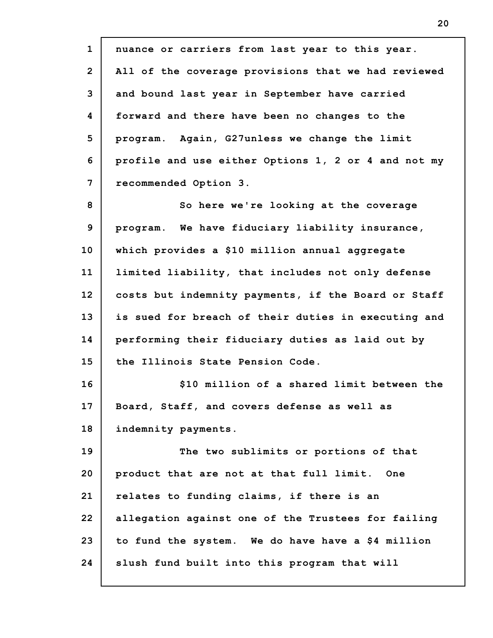**1 2 3 4 5 6 7 8 9 10 11 12 13 14 15 16 17 18 19 20 21 22 23 24 nuance or carriers from last year to this year. All of the coverage provisions that we had reviewed and bound last year in September have carried forward and there have been no changes to the program. Again, G27unless we change the limit profile and use either Options 1, 2 or 4 and not my recommended Option 3. So here we're looking at the coverage program. We have fiduciary liability insurance, which provides a \$10 million annual aggregate limited liability, that includes not only defense costs but indemnity payments, if the Board or Staff is sued for breach of their duties in executing and performing their fiduciary duties as laid out by the Illinois State Pension Code. \$10 million of a shared limit between the Board, Staff, and covers defense as well as indemnity payments. The two sublimits or portions of that product that are not at that full limit. One relates to funding claims, if there is an allegation against one of the Trustees for failing to fund the system. We do have have a \$4 million slush fund built into this program that will**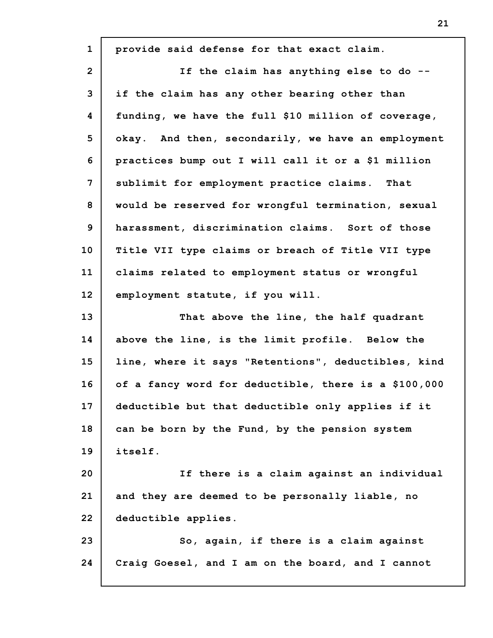| $\mathbf{1}$   | provide said defense for that exact claim.           |
|----------------|------------------------------------------------------|
| $\overline{2}$ | If the claim has anything else to do --              |
| 3              | if the claim has any other bearing other than        |
| 4              | funding, we have the full \$10 million of coverage,  |
| 5              | okay. And then, secondarily, we have an employment   |
| 6              | practices bump out I will call it or a \$1 million   |
| 7              | sublimit for employment practice claims. That        |
| 8              | would be reserved for wrongful termination, sexual   |
| 9              | harassment, discrimination claims. Sort of those     |
| 10             | Title VII type claims or breach of Title VII type    |
| 11             | claims related to employment status or wrongful      |
| 12             | employment statute, if you will.                     |
| 13             | That above the line, the half quadrant               |
| 14             | above the line, is the limit profile. Below the      |
| 15             | line, where it says "Retentions", deductibles, kind  |
| 16             | of a fancy word for deductible, there is a \$100,000 |
| 17             | deductible but that deductible only applies if it    |
| 18             | can be born by the Fund, by the pension system       |
| 19             | itself.                                              |
| 20             | If there is a claim against an individual            |
| 21             | and they are deemed to be personally liable, no      |
|                |                                                      |
| 22             | deductible applies.                                  |
| 23             | So, again, if there is a claim against               |
| 24             | Craig Goesel, and I am on the board, and I cannot    |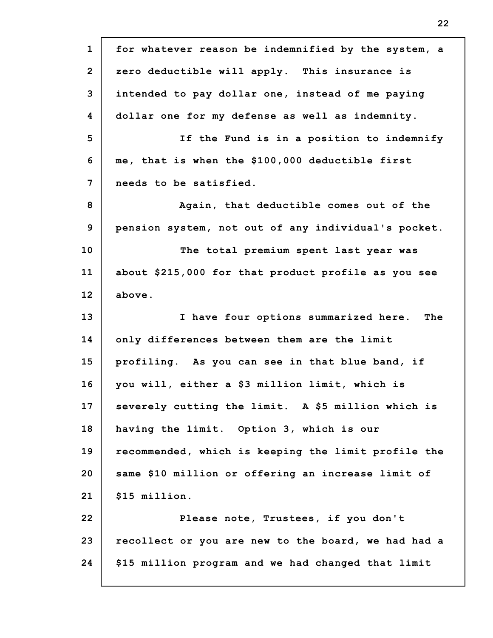**1 2 3 4 5 6 7 8 9 10 11 12 13 14 15 16 17 18 19 20 21 22 23 24 for whatever reason be indemnified by the system, a zero deductible will apply. This insurance is intended to pay dollar one, instead of me paying dollar one for my defense as well as indemnity. If the Fund is in a position to indemnify me, that is when the \$100,000 deductible first needs to be satisfied. Again, that deductible comes out of the pension system, not out of any individual's pocket. The total premium spent last year was about \$215,000 for that product profile as you see above. I have four options summarized here. The only differences between them are the limit profiling. As you can see in that blue band, if you will, either a \$3 million limit, which is severely cutting the limit. A \$5 million which is having the limit. Option 3, which is our recommended, which is keeping the limit profile the same \$10 million or offering an increase limit of \$15 million. Please note, Trustees, if you don't recollect or you are new to the board, we had had a \$15 million program and we had changed that limit**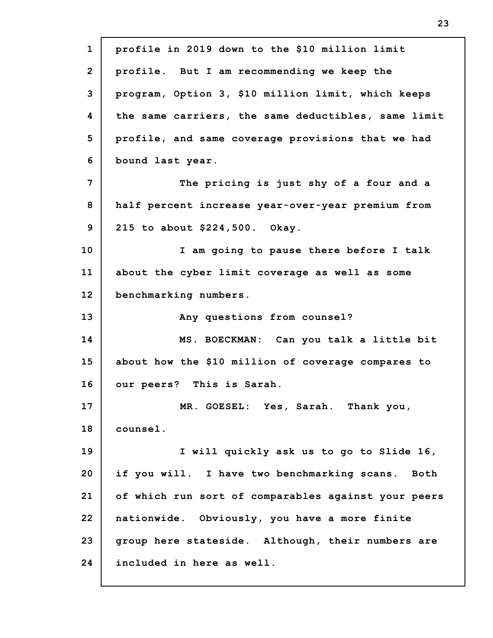| $\mathbf{1}$   | profile in 2019 down to the \$10 million limit      |
|----------------|-----------------------------------------------------|
| $\overline{2}$ | profile. But I am recommending we keep the          |
| 3              | program, Option 3, \$10 million limit, which keeps  |
| 4              | the same carriers, the same deductibles, same limit |
| 5              | profile, and same coverage provisions that we had   |
| 6              | bound last year.                                    |
| 7              | The pricing is just shy of a four and a             |
| 8              | half percent increase year-over-year premium from   |
| 9              | 215 to about \$224,500. Okay.                       |
| 10             | I am going to pause there before I talk             |
| 11             | about the cyber limit coverage as well as some      |
| 12             | benchmarking numbers.                               |
| 13             | Any questions from counsel?                         |
| 14             | MS. BOECKMAN: Can you talk a little bit             |
| 15             | about how the \$10 million of coverage compares to  |
| 16             | our peers? This is Sarah.                           |
| 17             | MR. GOESEL: Yes, Sarah. Thank you,                  |
| 18             | counsel.                                            |
|                |                                                     |
|                | I will quickly ask us to go to Slide 16,            |
| 19<br>20       | if you will. I have two benchmarking scans. Both    |
|                | of which run sort of comparables against your peers |
|                | nationwide. Obviously, you have a more finite       |
| 21<br>22<br>23 | group here stateside. Although, their numbers are   |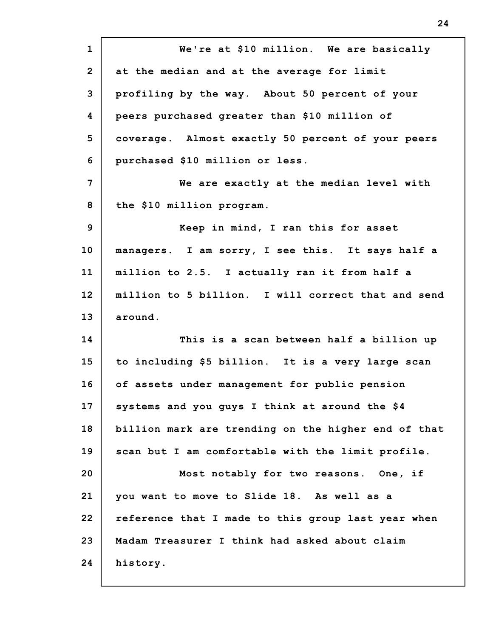**1 2 3 4 5 6 7 8 9 10 11 12 13 14 15 16 17 18 19 20 21 22 23 24 We're at \$10 million. We are basically at the median and at the average for limit profiling by the way. About 50 percent of your peers purchased greater than \$10 million of coverage. Almost exactly 50 percent of your peers purchased \$10 million or less. We are exactly at the median level with the \$10 million program. Keep in mind, I ran this for asset managers. I am sorry, I see this. It says half a million to 2.5. I actually ran it from half a million to 5 billion. I will correct that and send around. This is a scan between half a billion up to including \$5 billion. It is a very large scan of assets under management for public pension systems and you guys I think at around the \$4 billion mark are trending on the higher end of that scan but I am comfortable with the limit profile. Most notably for two reasons. One, if you want to move to Slide 18. As well as a reference that I made to this group last year when Madam Treasurer I think had asked about claim history.**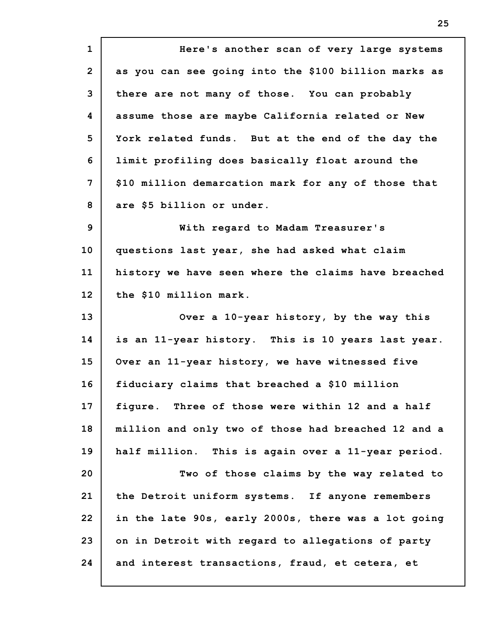**1 2 3 4 5 6 7 8 9 10 11 12 13 14 15 16 17 18 19 20 21 22 23 24 Here's another scan of very large systems as you can see going into the \$100 billion marks as there are not many of those. You can probably assume those are maybe California related or New York related funds. But at the end of the day the limit profiling does basically float around the \$10 million demarcation mark for any of those that are \$5 billion or under. With regard to Madam Treasurer's questions last year, she had asked what claim history we have seen where the claims have breached the \$10 million mark. Over a 10-year history, by the way this is an 11-year history. This is 10 years last year. Over an 11-year history, we have witnessed five fiduciary claims that breached a \$10 million figure. Three of those were within 12 and a half million and only two of those had breached 12 and a half million. This is again over a 11-year period. Two of those claims by the way related to the Detroit uniform systems. If anyone remembers in the late 90s, early 2000s, there was a lot going on in Detroit with regard to allegations of party and interest transactions, fraud, et cetera, et**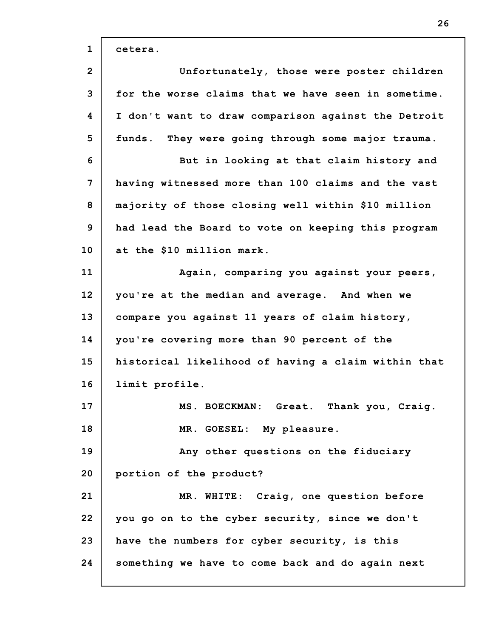| $\mathbf{1}$   | cetera.                                             |
|----------------|-----------------------------------------------------|
| $\overline{2}$ | Unfortunately, those were poster children           |
| 3              | for the worse claims that we have seen in sometime. |
| 4              | I don't want to draw comparison against the Detroit |
| 5              | funds. They were going through some major trauma.   |
| 6              | But in looking at that claim history and            |
| 7              | having witnessed more than 100 claims and the vast  |
| 8              | majority of those closing well within \$10 million  |
| 9              | had lead the Board to vote on keeping this program  |
| 10             | at the \$10 million mark.                           |
| 11             | Again, comparing you against your peers,            |
| 12             | you're at the median and average. And when we       |
| 13             | compare you against 11 years of claim history,      |
| 14             | you're covering more than 90 percent of the         |
| 15             | historical likelihood of having a claim within that |
| 16             | limit profile.                                      |
| 17             | MS. BOECKMAN: Great. Thank you, Craig.              |
| 18             | MR. GOESEL: My pleasure.                            |
| 19             | Any other questions on the fiduciary                |
| 20             | portion of the product?                             |
| 21             | MR. WHITE: Craig, one question before               |
| 22             | you go on to the cyber security, since we don't     |
| 23             | have the numbers for cyber security, is this        |
| 24             | something we have to come back and do again next    |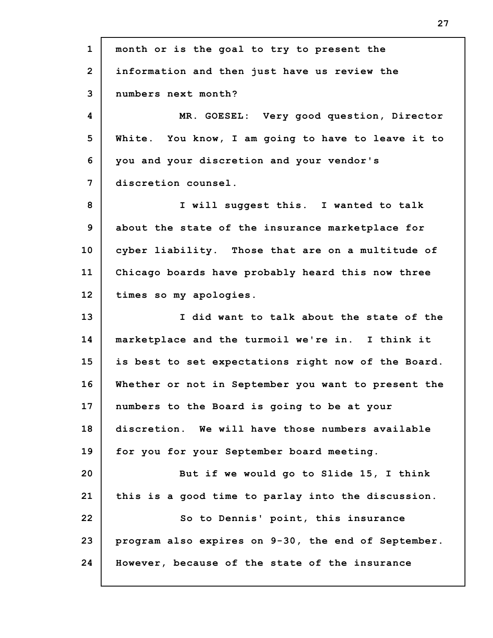**1 2 3 4 5 6 7 8 9 10 11 12 13 14 15 16 17 18 19 20 21 22 23 24 month or is the goal to try to present the information and then just have us review the numbers next month? MR. GOESEL: Very good question, Director White. You know, I am going to have to leave it to you and your discretion and your vendor's discretion counsel. I will suggest this. I wanted to talk about the state of the insurance marketplace for cyber liability. Those that are on a multitude of Chicago boards have probably heard this now three times so my apologies. I did want to talk about the state of the marketplace and the turmoil we're in. I think it is best to set expectations right now of the Board. Whether or not in September you want to present the numbers to the Board is going to be at your discretion. We will have those numbers available for you for your September board meeting. But if we would go to Slide 15, I think this is a good time to parlay into the discussion. So to Dennis' point, this insurance program also expires on 9-30, the end of September. However, because of the state of the insurance**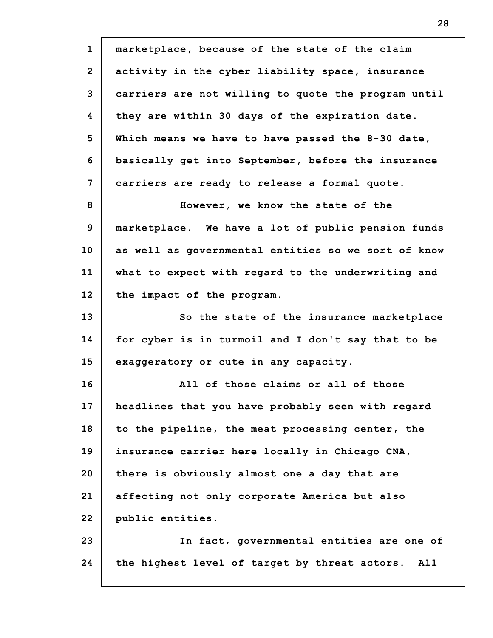**1 2 3 4 5 6 7 8 9 10 11 12 13 14 15 16 17 18 19 20 21 22 23 24 marketplace, because of the state of the claim activity in the cyber liability space, insurance carriers are not willing to quote the program until they are within 30 days of the expiration date. Which means we have to have passed the 8-30 date, basically get into September, before the insurance carriers are ready to release a formal quote. However, we know the state of the marketplace. We have a lot of public pension funds as well as governmental entities so we sort of know what to expect with regard to the underwriting and the impact of the program. So the state of the insurance marketplace for cyber is in turmoil and I don't say that to be exaggeratory or cute in any capacity. All of those claims or all of those headlines that you have probably seen with regard to the pipeline, the meat processing center, the insurance carrier here locally in Chicago CNA, there is obviously almost one a day that are affecting not only corporate America but also public entities. In fact, governmental entities are one of the highest level of target by threat actors. All**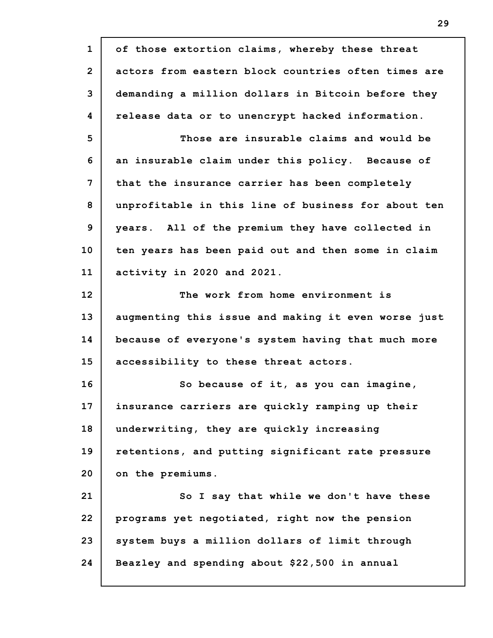**1 2 3 4 5 6 7 8 9 10 11 12 13 14 15 16 17 18 19 20 21 22 23 24 of those extortion claims, whereby these threat actors from eastern block countries often times are demanding a million dollars in Bitcoin before they release data or to unencrypt hacked information. Those are insurable claims and would be an insurable claim under this policy. Because of that the insurance carrier has been completely unprofitable in this line of business for about ten years. All of the premium they have collected in ten years has been paid out and then some in claim activity in 2020 and 2021. The work from home environment is augmenting this issue and making it even worse just because of everyone's system having that much more accessibility to these threat actors. So because of it, as you can imagine, insurance carriers are quickly ramping up their underwriting, they are quickly increasing retentions, and putting significant rate pressure on the premiums. So I say that while we don't have these programs yet negotiated, right now the pension system buys a million dollars of limit through Beazley and spending about \$22,500 in annual**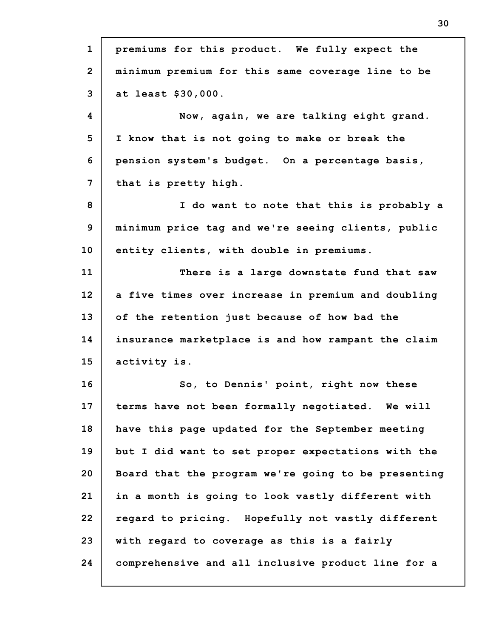| $\mathbf{1}$   | premiums for this product. We fully expect the      |
|----------------|-----------------------------------------------------|
| $\overline{2}$ | minimum premium for this same coverage line to be   |
| 3              | at least \$30,000.                                  |
| 4              | Now, again, we are talking eight grand.             |
| 5              | I know that is not going to make or break the       |
| 6              | pension system's budget. On a percentage basis,     |
| 7              | that is pretty high.                                |
| 8              | I do want to note that this is probably a           |
| 9              | minimum price tag and we're seeing clients, public  |
| 10             | entity clients, with double in premiums.            |
| 11             | There is a large downstate fund that saw            |
| 12             | a five times over increase in premium and doubling  |
| 13             | of the retention just because of how bad the        |
| 14             | insurance marketplace is and how rampant the claim  |
| 15             | activity is.                                        |
| 16             | So, to Dennis' point, right now these               |
| 17             | terms have not been formally negotiated. We will    |
| 18             | have this page updated for the September meeting    |
| 19             | but I did want to set proper expectations with the  |
| 20             | Board that the program we're going to be presenting |
| 21             | in a month is going to look vastly different with   |
| 22             | regard to pricing. Hopefully not vastly different   |
| 23             | with regard to coverage as this is a fairly         |
| 24             | comprehensive and all inclusive product line for a  |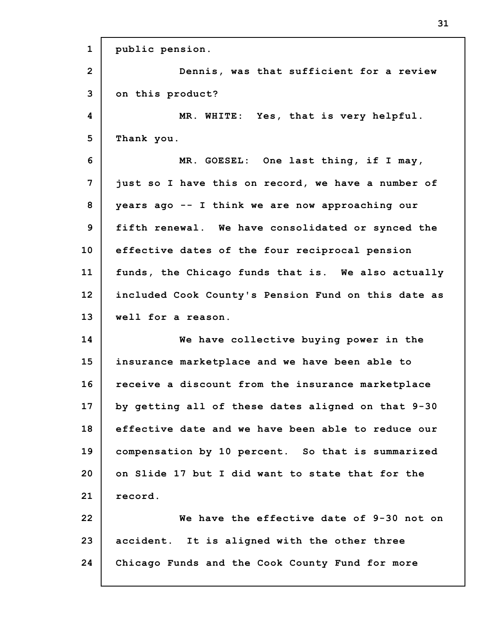| $\mathbf{1}$ | public pension.                                     |
|--------------|-----------------------------------------------------|
| $\mathbf{2}$ | Dennis, was that sufficient for a review            |
| 3            | on this product?                                    |
| 4            | MR. WHITE: Yes, that is very helpful.               |
| 5            | Thank you.                                          |
| 6            | MR. GOESEL: One last thing, if I may,               |
| 7            | just so I have this on record, we have a number of  |
| 8            | years ago -- I think we are now approaching our     |
| 9            | fifth renewal. We have consolidated or synced the   |
| 10           | effective dates of the four reciprocal pension      |
| 11           | funds, the Chicago funds that is. We also actually  |
| 12           | included Cook County's Pension Fund on this date as |
| 13           | well for a reason.                                  |
|              |                                                     |
| 14           | We have collective buying power in the              |
| 15           | insurance marketplace and we have been able to      |
| 16           | receive a discount from the insurance marketplace   |
| 17           | by getting all of these dates aligned on that 9-30  |
| 18           | effective date and we have been able to reduce our  |
| 19           | compensation by 10 percent. So that is summarized   |
| 20           | on Slide 17 but I did want to state that for the    |
| 21           | record.                                             |
| 22           | We have the effective date of 9-30 not on           |
| 23           | accident. It is aligned with the other three        |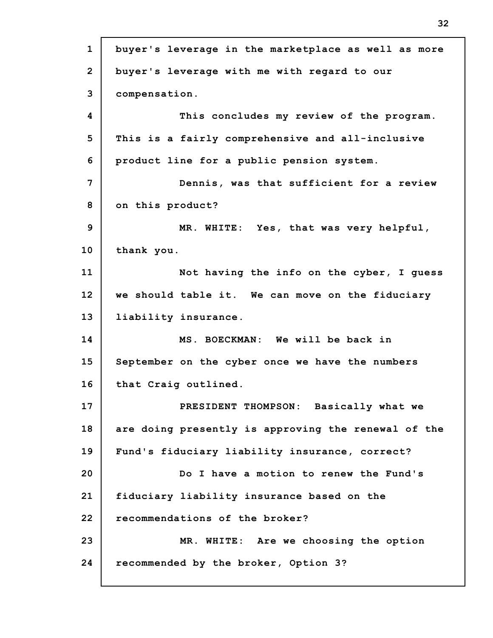| $\mathbf{1}$   | buyer's leverage in the marketplace as well as more |
|----------------|-----------------------------------------------------|
| $\overline{2}$ | buyer's leverage with me with regard to our         |
| 3              | compensation.                                       |
| 4              | This concludes my review of the program.            |
| 5              | This is a fairly comprehensive and all-inclusive    |
| 6              | product line for a public pension system.           |
| 7              | Dennis, was that sufficient for a review            |
| 8              | on this product?                                    |
| 9              | MR. WHITE: Yes, that was very helpful,              |
| 10             | thank you.                                          |
| 11             | Not having the info on the cyber, I guess           |
| 12             | we should table it. We can move on the fiduciary    |
| 13             | liability insurance.                                |
| 14             | MS. BOECKMAN: We will be back in                    |
| 15             | September on the cyber once we have the numbers     |
| 16             | that Craig outlined.                                |
| 17             | PRESIDENT THOMPSON: Basically what we               |
| 18             | are doing presently is approving the renewal of the |
| 19             | Fund's fiduciary liability insurance, correct?      |
| 20             | Do I have a motion to renew the Fund's              |
| 21             | fiduciary liability insurance based on the          |
| 22             | recommendations of the broker?                      |
| 23             | MR. WHITE: Are we choosing the option               |
| 24             | recommended by the broker, Option 3?                |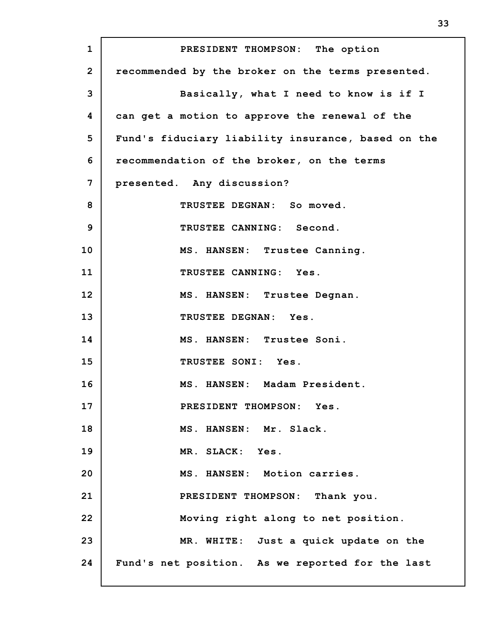**1 2 3 4 5 6 7 8 9 10 11 12 13 14 15 16 17 18 19 20 21 22 23 24 PRESIDENT THOMPSON: The option recommended by the broker on the terms presented. Basically, what I need to know is if I can get a motion to approve the renewal of the Fund's fiduciary liability insurance, based on the recommendation of the broker, on the terms presented. Any discussion? TRUSTEE DEGNAN: So moved. TRUSTEE CANNING: Second. MS. HANSEN: Trustee Canning. TRUSTEE CANNING: Yes. MS. HANSEN: Trustee Degnan. TRUSTEE DEGNAN: Yes. MS. HANSEN: Trustee Soni. TRUSTEE SONI: Yes. MS. HANSEN: Madam President. PRESIDENT THOMPSON: Yes. MS. HANSEN: Mr. Slack. MR. SLACK: Yes. MS. HANSEN: Motion carries. PRESIDENT THOMPSON: Thank you. Moving right along to net position. MR. WHITE: Just a quick update on the Fund's net position. As we reported for the last**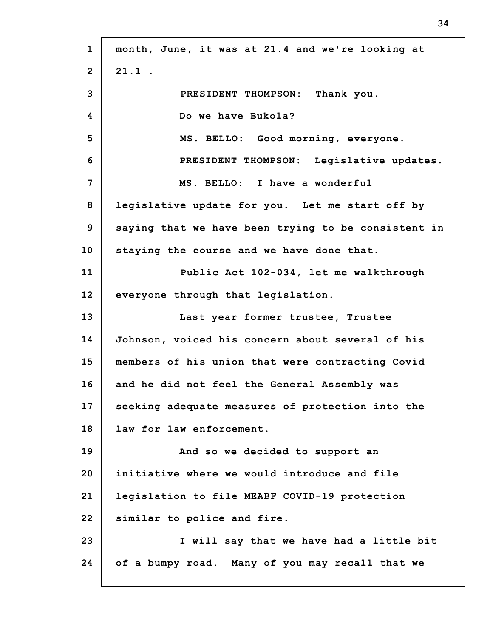**1 2 3 4 5 6 7 8 9 10 11 12 13 14 15 16 17 18 19 20 21 22 23 24 month, June, it was at 21.4 and we're looking at 21.1 . PRESIDENT THOMPSON: Thank you. Do we have Bukola? MS. BELLO: Good morning, everyone. PRESIDENT THOMPSON: Legislative updates. MS. BELLO: I have a wonderful legislative update for you. Let me start off by saying that we have been trying to be consistent in staying the course and we have done that. Public Act 102-034, let me walkthrough everyone through that legislation. Last year former trustee, Trustee Johnson, voiced his concern about several of his members of his union that were contracting Covid and he did not feel the General Assembly was seeking adequate measures of protection into the law for law enforcement. And so we decided to support an initiative where we would introduce and file legislation to file MEABF COVID-19 protection similar to police and fire. I will say that we have had a little bit of a bumpy road. Many of you may recall that we**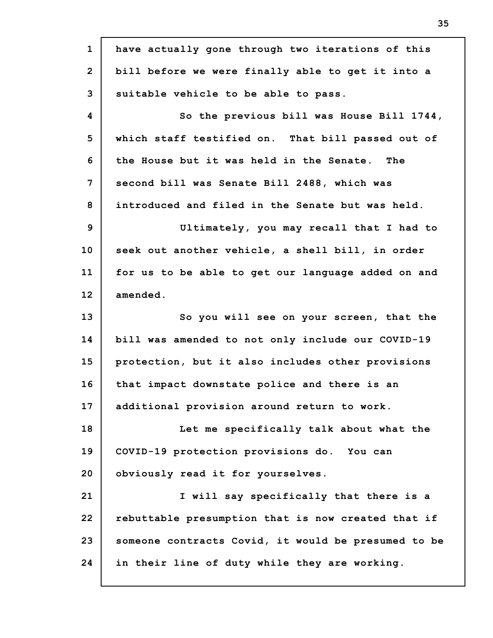**1 2 3 4 5 6 7 8 9 10 11 12 13 14 15 16 17 18 19 20 21 22 23 24 have actually gone through two iterations of this bill before we were finally able to get it into a suitable vehicle to be able to pass. So the previous bill was House Bill 1744, which staff testified on. That bill passed out of the House but it was held in the Senate. The second bill was Senate Bill 2488, which was introduced and filed in the Senate but was held. Ultimately, you may recall that I had to seek out another vehicle, a shell bill, in order for us to be able to get our language added on and amended. So you will see on your screen, that the bill was amended to not only include our COVID-19 protection, but it also includes other provisions that impact downstate police and there is an additional provision around return to work. Let me specifically talk about what the COVID-19 protection provisions do. You can obviously read it for yourselves. I will say specifically that there is a rebuttable presumption that is now created that if someone contracts Covid, it would be presumed to be in their line of duty while they are working.**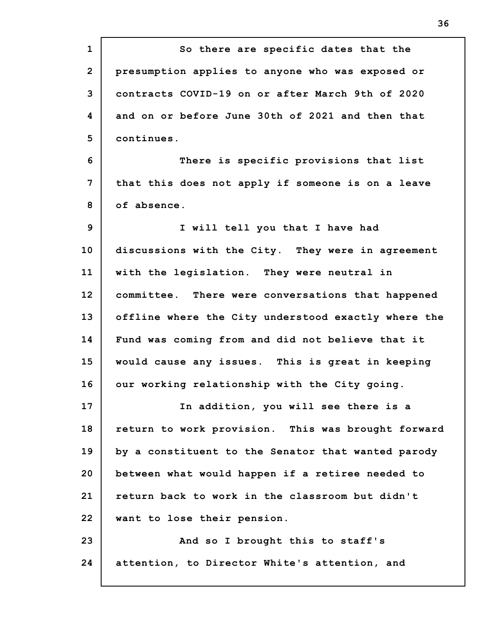**1 2 3 4 5 6 7 8 9 10 11 12 13 14 15 16 17 18 19 20 21 22 23 24 So there are specific dates that the presumption applies to anyone who was exposed or contracts COVID-19 on or after March 9th of 2020 and on or before June 30th of 2021 and then that continues. There is specific provisions that list that this does not apply if someone is on a leave of absence. I will tell you that I have had discussions with the City. They were in agreement with the legislation. They were neutral in committee. There were conversations that happened offline where the City understood exactly where the Fund was coming from and did not believe that it would cause any issues. This is great in keeping our working relationship with the City going. In addition, you will see there is a return to work provision. This was brought forward by a constituent to the Senator that wanted parody between what would happen if a retiree needed to return back to work in the classroom but didn't want to lose their pension. And so I brought this to staff's attention, to Director White's attention, and**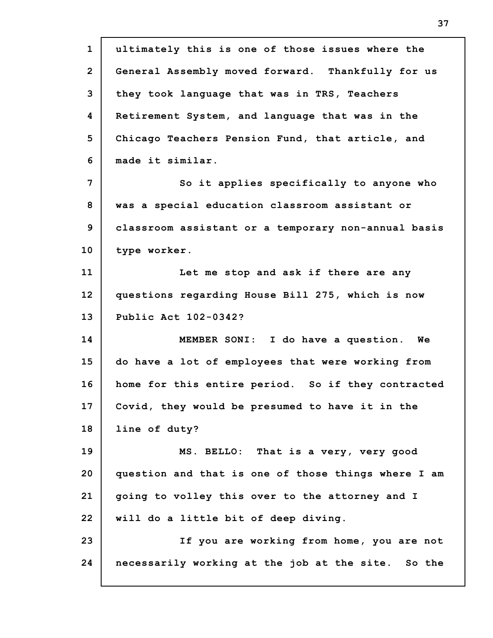| $\mathbf{1}$   | ultimately this is one of those issues where the    |
|----------------|-----------------------------------------------------|
| $\overline{2}$ | General Assembly moved forward. Thankfully for us   |
| 3              | they took language that was in TRS, Teachers        |
| 4              | Retirement System, and language that was in the     |
| 5              | Chicago Teachers Pension Fund, that article, and    |
| 6              | made it similar.                                    |
| 7              | So it applies specifically to anyone who            |
| 8              | was a special education classroom assistant or      |
| 9              | classroom assistant or a temporary non-annual basis |
| 10             | type worker.                                        |
| 11             | Let me stop and ask if there are any                |
| 12             | questions regarding House Bill 275, which is now    |
| 13             | Public Act 102-0342?                                |
| 14             | MEMBER SONI: I do have a question. We               |
| 15             | do have a lot of employees that were working from   |
| 16             | home for this entire period. So if they contracted  |
| 17             | Covid, they would be presumed to have it in the     |
| 18             | line of duty?                                       |
| 19             | MS. BELLO: That is a very, very good                |
| 20             | question and that is one of those things where I am |
| 21             | going to volley this over to the attorney and I     |
| 22             | will do a little bit of deep diving.                |
| 23             | If you are working from home, you are not           |
| 24             | necessarily working at the job at the site. So the  |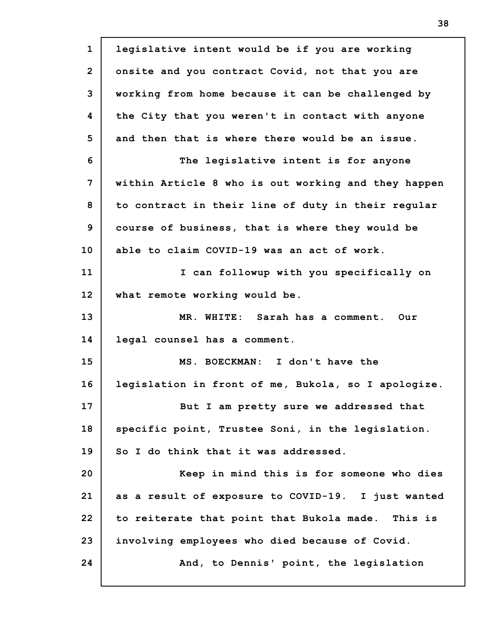**1 2 3 4 5 6 7 8 9 10 11 12 13 14 15 16 17 18 19 20 21 22 23 24 legislative intent would be if you are working onsite and you contract Covid, not that you are working from home because it can be challenged by the City that you weren't in contact with anyone and then that is where there would be an issue. The legislative intent is for anyone within Article 8 who is out working and they happen to contract in their line of duty in their regular course of business, that is where they would be able to claim COVID-19 was an act of work. I can followup with you specifically on what remote working would be. MR. WHITE: Sarah has a comment. Our legal counsel has a comment. MS. BOECKMAN: I don't have the legislation in front of me, Bukola, so I apologize. But I am pretty sure we addressed that specific point, Trustee Soni, in the legislation. So I do think that it was addressed. Keep in mind this is for someone who dies as a result of exposure to COVID-19. I just wanted to reiterate that point that Bukola made. This is involving employees who died because of Covid. And, to Dennis' point, the legislation**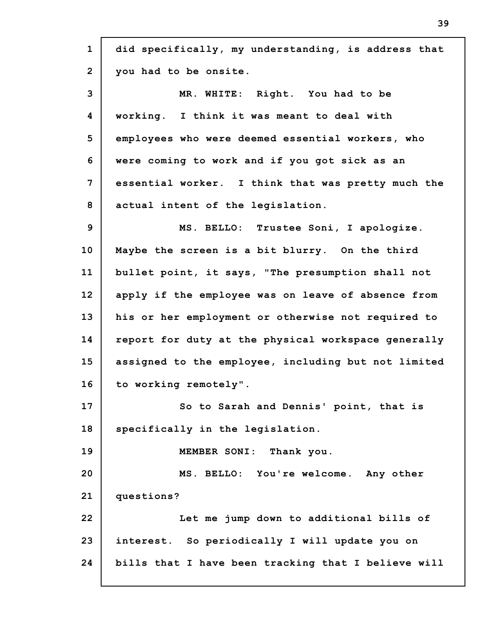| $\mathbf{1}$    | did specifically, my understanding, is address that |
|-----------------|-----------------------------------------------------|
| $\overline{2}$  | you had to be onsite.                               |
| 3               | MR. WHITE: Right. You had to be                     |
| 4               | working. I think it was meant to deal with          |
| 5               | employees who were deemed essential workers, who    |
| 6               | were coming to work and if you got sick as an       |
| 7               | essential worker. I think that was pretty much the  |
| 8               | actual intent of the legislation.                   |
| 9               | MS. BELLO: Trustee Soni, I apologize.               |
| 10              | Maybe the screen is a bit blurry. On the third      |
| 11              | bullet point, it says, "The presumption shall not   |
| 12 <sup>2</sup> | apply if the employee was on leave of absence from  |
| 13              | his or her employment or otherwise not required to  |
| 14              | report for duty at the physical workspace generally |
| 15              | assigned to the employee, including but not limited |
| 16              | to working remotely".                               |
| 17              | So to Sarah and Dennis' point, that is              |
| 18              | specifically in the legislation.                    |
| 19              | MEMBER SONI: Thank you.                             |
| 20              | MS. BELLO: You're welcome. Any other                |
| 21              | questions?                                          |
| 22              | Let me jump down to additional bills of             |
| 23              | interest. So periodically I will update you on      |
| 24              | bills that I have been tracking that I believe will |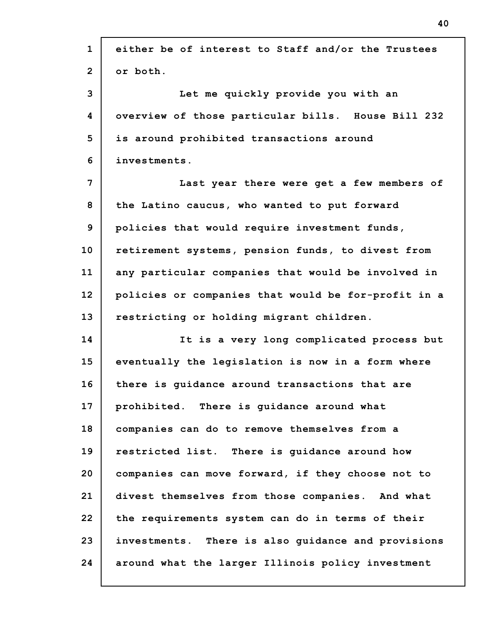| $\mathbf{1}$   | either be of interest to Staff and/or the Trustees  |
|----------------|-----------------------------------------------------|
| $\overline{2}$ | or both.                                            |
| 3              | Let me quickly provide you with an                  |
| 4              | overview of those particular bills. House Bill 232  |
| 5              | is around prohibited transactions around            |
| 6              | investments.                                        |
| 7              | Last year there were get a few members of           |
| 8              | the Latino caucus, who wanted to put forward        |
| 9              | policies that would require investment funds,       |
| 10             | retirement systems, pension funds, to divest from   |
| 11             | any particular companies that would be involved in  |
| 12             | policies or companies that would be for-profit in a |
| 13             | restricting or holding migrant children.            |
| 14             | It is a very long complicated process but           |
| 15             | eventually the legislation is now in a form where   |
| 16             | there is quidance around transactions that are      |
| 17             | prohibited. There is guidance around what           |
| 18             | companies can do to remove themselves from a        |
| 19             | restricted list. There is guidance around how       |
| 20             | companies can move forward, if they choose not to   |
| 21             | divest themselves from those companies. And what    |
| 22             | the requirements system can do in terms of their    |
| 23             | investments. There is also guidance and provisions  |
| 24             | around what the larger Illinois policy investment   |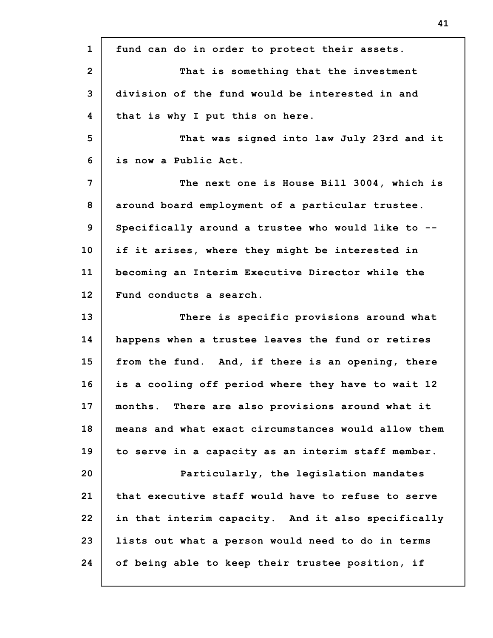**1 2 3 4 5 6 7 8 9 10 11 12 13 14 15 16 17 18 19 20 21 22 23 24 fund can do in order to protect their assets. That is something that the investment division of the fund would be interested in and that is why I put this on here. That was signed into law July 23rd and it is now a Public Act. The next one is House Bill 3004, which is around board employment of a particular trustee. Specifically around a trustee who would like to - if it arises, where they might be interested in becoming an Interim Executive Director while the Fund conducts a search. There is specific provisions around what happens when a trustee leaves the fund or retires from the fund. And, if there is an opening, there is a cooling off period where they have to wait 12 months. There are also provisions around what it means and what exact circumstances would allow them to serve in a capacity as an interim staff member. Particularly, the legislation mandates that executive staff would have to refuse to serve in that interim capacity. And it also specifically lists out what a person would need to do in terms of being able to keep their trustee position, if**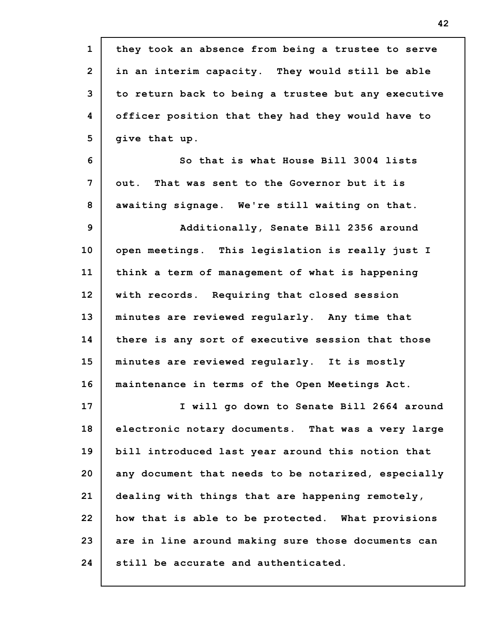| $\mathbf{1}$    | they took an absence from being a trustee to serve  |
|-----------------|-----------------------------------------------------|
| $\overline{2}$  | in an interim capacity. They would still be able    |
| 3               | to return back to being a trustee but any executive |
| 4               | officer position that they had they would have to   |
| 5               | give that up.                                       |
| 6               | So that is what House Bill 3004 lists               |
| 7               | out. That was sent to the Governor but it is        |
| 8               | awaiting signage. We're still waiting on that.      |
| 9               | Additionally, Senate Bill 2356 around               |
| 10 <sub>1</sub> | open meetings. This legislation is really just I    |
| 11              | think a term of management of what is happening     |
| 12              | with records. Requiring that closed session         |
| 13              | minutes are reviewed regularly. Any time that       |
| 14              | there is any sort of executive session that those   |
| 15              | minutes are reviewed regularly. It is mostly        |
| 16              | maintenance in terms of the Open Meetings Act.      |
| 17              | I will go down to Senate Bill 2664 around           |
| 18              | electronic notary documents. That was a very large  |
| 19              | bill introduced last year around this notion that   |
| 20              | any document that needs to be notarized, especially |
| 21              | dealing with things that are happening remotely,    |
| 22              | how that is able to be protected. What provisions   |
| 23              | are in line around making sure those documents can  |
| 24              | still be accurate and authenticated.                |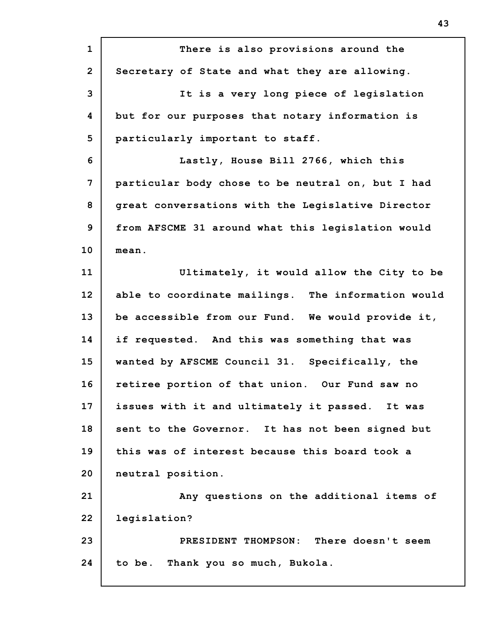| $\mathbf{1}$   | There is also provisions around the                |
|----------------|----------------------------------------------------|
| $\overline{2}$ | Secretary of State and what they are allowing.     |
| 3              | It is a very long piece of legislation             |
| 4              | but for our purposes that notary information is    |
| 5              | particularly important to staff.                   |
| 6              | Lastly, House Bill 2766, which this                |
| 7              | particular body chose to be neutral on, but I had  |
| 8              | great conversations with the Legislative Director  |
| 9              | from AFSCME 31 around what this legislation would  |
| 10             | mean.                                              |
| 11             | Ultimately, it would allow the City to be          |
| 12             | able to coordinate mailings. The information would |
| 13             | be accessible from our Fund. We would provide it,  |
| 14             | if requested. And this was something that was      |
| 15             | wanted by AFSCME Council 31. Specifically, the     |
| 16             | retiree portion of that union. Our Fund saw no     |
| 17             | issues with it and ultimately it passed. It was    |
| 18             | sent to the Governor. It has not been signed but   |
| 19             | this was of interest because this board took a     |
| 20             | neutral position.                                  |
| 21             | Any questions on the additional items of           |
| 22             | legislation?                                       |
| 23             | There doesn't seem<br>PRESIDENT THOMPSON:          |
| 24             | to be. Thank you so much, Bukola.                  |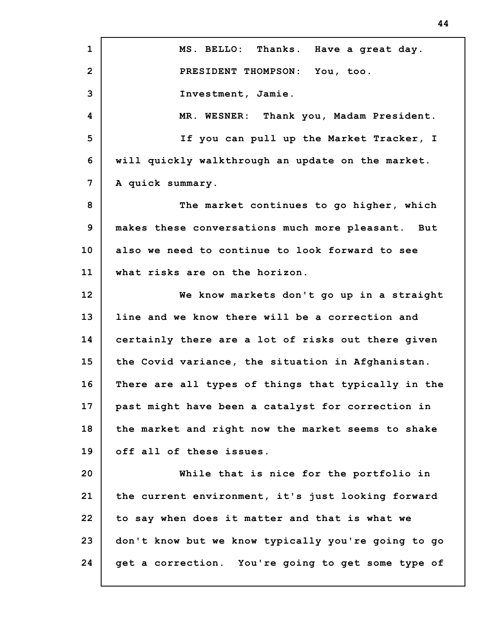**1 2 3 4 5 6 7 8 9 10 11 12 13 14 15 16 17 18 19 20 21 22 23 24 MS. BELLO: Thanks. Have a great day. PRESIDENT THOMPSON: You, too. Investment, Jamie. MR. WESNER: Thank you, Madam President. If you can pull up the Market Tracker, I will quickly walkthrough an update on the market. A quick summary. The market continues to go higher, which makes these conversations much more pleasant. But also we need to continue to look forward to see what risks are on the horizon. We know markets don't go up in a straight line and we know there will be a correction and certainly there are a lot of risks out there given the Covid variance, the situation in Afghanistan. There are all types of things that typically in the past might have been a catalyst for correction in the market and right now the market seems to shake off all of these issues. While that is nice for the portfolio in the current environment, it's just looking forward to say when does it matter and that is what we don't know but we know typically you're going to go get a correction. You're going to get some type of**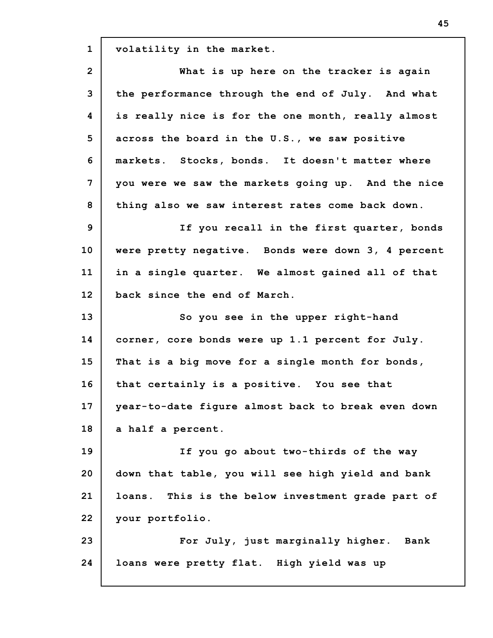**1 volatility in the market.**

| $\overline{2}$ | What is up here on the tracker is again              |
|----------------|------------------------------------------------------|
| 3              | the performance through the end of July. And what    |
| 4              | is really nice is for the one month, really almost   |
| 5              | across the board in the U.S., we saw positive        |
| 6              | markets. Stocks, bonds. It doesn't matter where      |
| 7              | you were we saw the markets going up. And the nice   |
| 8              | thing also we saw interest rates come back down.     |
| $\mathbf{9}$   | If you recall in the first quarter, bonds            |
| 10             | were pretty negative. Bonds were down 3, 4 percent   |
| 11             | in a single quarter. We almost gained all of that    |
| 12             | back since the end of March.                         |
| 13             | So you see in the upper right-hand                   |
| 14             | corner, core bonds were up 1.1 percent for July.     |
| 15             | That is a big move for a single month for bonds,     |
| 16             | that certainly is a positive. You see that           |
| 17             | year-to-date fiqure almost back to break even down   |
| 18             | a half a percent.                                    |
| 19             | If you go about two-thirds of the way                |
| 20             | down that table, you will see high yield and bank    |
| 21             | This is the below investment grade part of<br>loans. |
| 22             | your portfolio.                                      |
| 23             | For July, just marginally higher. Bank               |
| 24             | loans were pretty flat. High yield was up            |
|                |                                                      |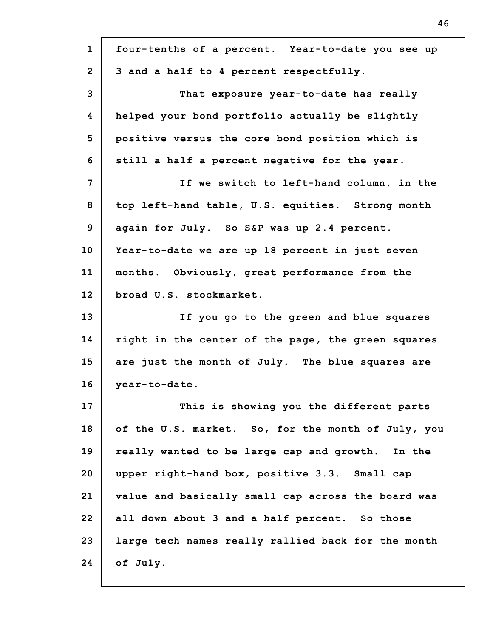| $\mathbf{1}$   | four-tenths of a percent. Year-to-date you see up  |
|----------------|----------------------------------------------------|
| $\overline{2}$ | 3 and a half to 4 percent respectfully.            |
| 3              | That exposure year-to-date has really              |
| 4              | helped your bond portfolio actually be slightly    |
| 5              | positive versus the core bond position which is    |
| 6              | still a half a percent negative for the year.      |
| 7              | If we switch to left-hand column, in the           |
| 8              | top left-hand table, U.S. equities. Strong month   |
| 9              | again for July. So S&P was up 2.4 percent.         |
| 10             | Year-to-date we are up 18 percent in just seven    |
| 11             | months. Obviously, great performance from the      |
| 12             | broad U.S. stockmarket.                            |
| 13             | If you go to the green and blue squares            |
| 14             | right in the center of the page, the green squares |
| 15             | are just the month of July. The blue squares are   |
| 16             | year-to-date.                                      |
| 17             | This is showing you the different parts            |
| 18             | of the U.S. market. So, for the month of July, you |
| 19             | really wanted to be large cap and growth. In the   |
| 20             | upper right-hand box, positive 3.3. Small cap      |
| 21             | value and basically small cap across the board was |
| 22             | all down about 3 and a half percent. So those      |
| 23             | large tech names really rallied back for the month |
| 24             | of July.                                           |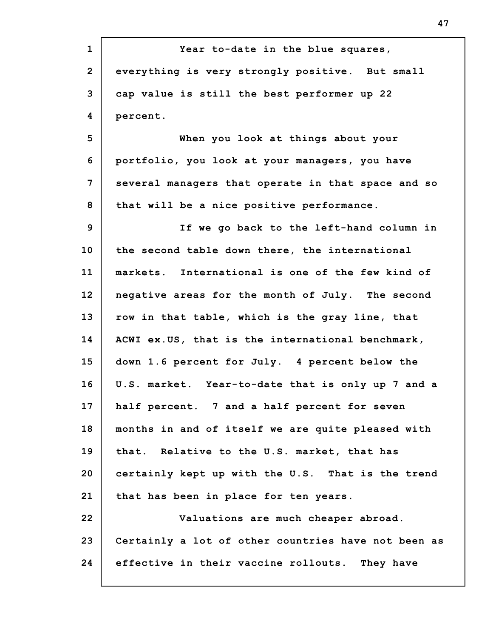**1 2 3 4 5 6 7 8 9 10 11 12 13 14 15 16 17 18 19 20 21 22 23 24 Year to-date in the blue squares, everything is very strongly positive. But small cap value is still the best performer up 22 percent. When you look at things about your portfolio, you look at your managers, you have several managers that operate in that space and so that will be a nice positive performance. If we go back to the left-hand column in the second table down there, the international markets. International is one of the few kind of negative areas for the month of July. The second row in that table, which is the gray line, that ACWI ex.US, that is the international benchmark, down 1.6 percent for July. 4 percent below the U.S. market. Year-to-date that is only up 7 and a half percent. 7 and a half percent for seven months in and of itself we are quite pleased with that. Relative to the U.S. market, that has certainly kept up with the U.S. That is the trend that has been in place for ten years. Valuations are much cheaper abroad. Certainly a lot of other countries have not been as effective in their vaccine rollouts. They have**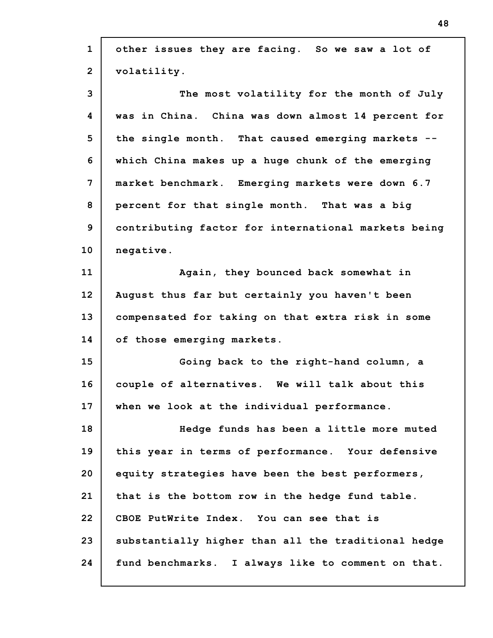| $\mathbf{1}$   | other issues they are facing. So we saw a lot of    |
|----------------|-----------------------------------------------------|
| $\overline{2}$ | volatility.                                         |
| 3              | The most volatility for the month of July           |
| 4              | was in China. China was down almost 14 percent for  |
| 5              | the single month. That caused emerging markets --   |
| 6              | which China makes up a huge chunk of the emerging   |
| 7              | market benchmark. Emerging markets were down 6.7    |
| 8              | percent for that single month. That was a big       |
| 9              | contributing factor for international markets being |
| 10             | negative.                                           |
| 11             | Again, they bounced back somewhat in                |
| 12             | August thus far but certainly you haven't been      |
| 13             | compensated for taking on that extra risk in some   |
| 14             | of those emerging markets.                          |
| 15             | Going back to the right-hand column, a              |
| 16             | couple of alternatives. We will talk about this     |
| 17             | when we look at the individual performance.         |
| 18             | Hedge funds has been a little more muted            |
| 19             | this year in terms of performance. Your defensive   |
| 20             | equity strategies have been the best performers,    |
| 21             | that is the bottom row in the hedge fund table.     |
| 22             | CBOE PutWrite Index. You can see that is            |
| 23             | substantially higher than all the traditional hedge |
| 24             | fund benchmarks. I always like to comment on that.  |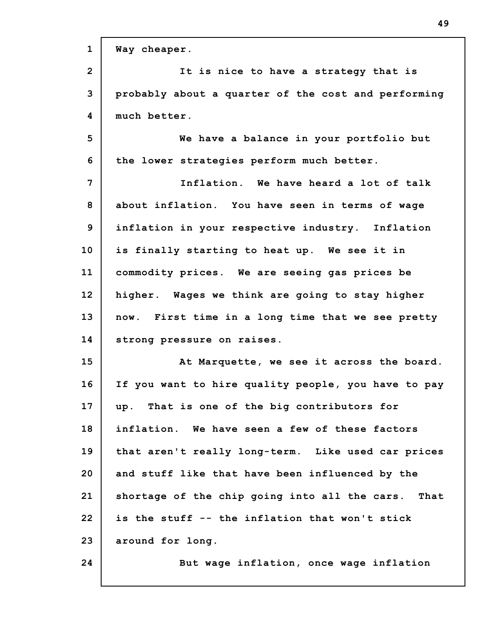| $\mathbf{1}$   | Way cheaper.                                        |
|----------------|-----------------------------------------------------|
| $\overline{2}$ | It is nice to have a strategy that is               |
| 3              | probably about a quarter of the cost and performing |
| 4              | much better.                                        |
| 5              | We have a balance in your portfolio but             |
| 6              | the lower strategies perform much better.           |
| 7              | Inflation. We have heard a lot of talk              |
| 8              | about inflation. You have seen in terms of wage     |
| 9              | inflation in your respective industry. Inflation    |
| 10             | is finally starting to heat up. We see it in        |
| 11             | commodity prices. We are seeing gas prices be       |
| 12             | higher. Wages we think are going to stay higher     |
| 13             | now. First time in a long time that we see pretty   |
| 14             | strong pressure on raises.                          |
| 15             | At Marquette, we see it across the board.           |
| 16             | If you want to hire quality people, you have to pay |
| 17             | up. That is one of the big contributors for         |
| 18             | inflation. We have seen a few of these factors      |
| 19             | that aren't really long-term. Like used car prices  |
| 20             | and stuff like that have been influenced by the     |
| 21             | shortage of the chip going into all the cars. That  |
| 22             | is the stuff -- the inflation that won't stick      |
| 23             | around for long.                                    |
| 24             | But wage inflation, once wage inflation             |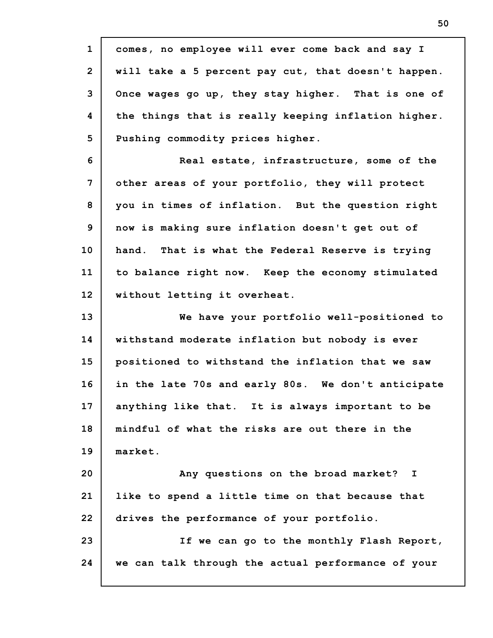| $\mathbf{1}$   | comes, no employee will ever come back and say I    |
|----------------|-----------------------------------------------------|
| $\overline{2}$ | will take a 5 percent pay cut, that doesn't happen. |
| 3              | Once wages go up, they stay higher. That is one of  |
| 4              | the things that is really keeping inflation higher. |
| 5              | Pushing commodity prices higher.                    |
| 6              | Real estate, infrastructure, some of the            |
| $7\phantom{.}$ | other areas of your portfolio, they will protect    |
| 8              | you in times of inflation. But the question right   |
| 9              | now is making sure inflation doesn't get out of     |
| 10             | hand. That is what the Federal Reserve is trying    |
| 11             | to balance right now. Keep the economy stimulated   |
| 12             | without letting it overheat.                        |
| 13             | We have your portfolio well-positioned to           |
| 14             | withstand moderate inflation but nobody is ever     |
| 15             | positioned to withstand the inflation that we saw   |
| 16             | in the late 70s and early 80s. We don't anticipate  |
| 17             | anything like that. It is always important to be    |
| 18             |                                                     |
|                | mindful of what the risks are out there in the      |
| 19             | market.                                             |
| 20             | Any questions on the broad market? I                |
| 21             | like to spend a little time on that because that    |
| 22             | drives the performance of your portfolio.           |
| 23             | If we can go to the monthly Flash Report,           |
| 24             | we can talk through the actual performance of your  |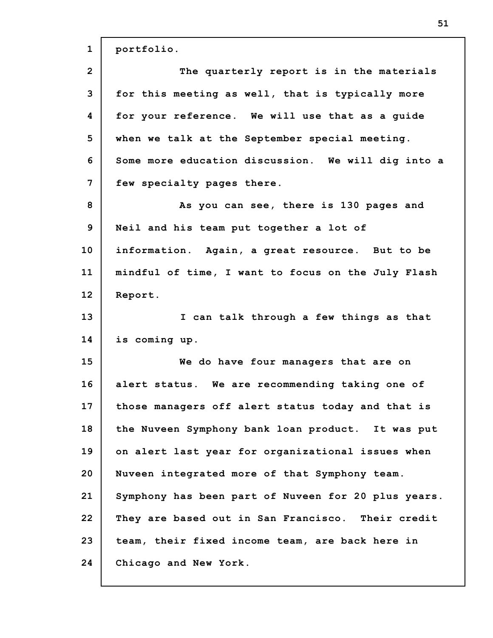| $\mathbf{1}$   | portfolio.                                          |
|----------------|-----------------------------------------------------|
| $\overline{2}$ | The quarterly report is in the materials            |
| 3              | for this meeting as well, that is typically more    |
| 4              | for your reference. We will use that as a guide     |
| 5              | when we talk at the September special meeting.      |
| 6              | Some more education discussion. We will dig into a  |
| 7              | few specialty pages there.                          |
| 8              | As you can see, there is 130 pages and              |
| 9              | Neil and his team put together a lot of             |
| 10             | information. Again, a great resource. But to be     |
| 11             | mindful of time, I want to focus on the July Flash  |
| 12             | Report.                                             |
|                |                                                     |
| 13             | I can talk through a few things as that             |
| 14             | is coming up.                                       |
| 15             | We do have four managers that are on                |
| 16             | alert status. We are recommending taking one of     |
| 17             | those managers off alert status today and that is   |
| 18             | the Nuveen Symphony bank loan product. It was put   |
| 19             | on alert last year for organizational issues when   |
| 20             | Nuveen integrated more of that Symphony team.       |
| 21             | Symphony has been part of Nuveen for 20 plus years. |
| 22             | They are based out in San Francisco. Their credit   |
| 23             | team, their fixed income team, are back here in     |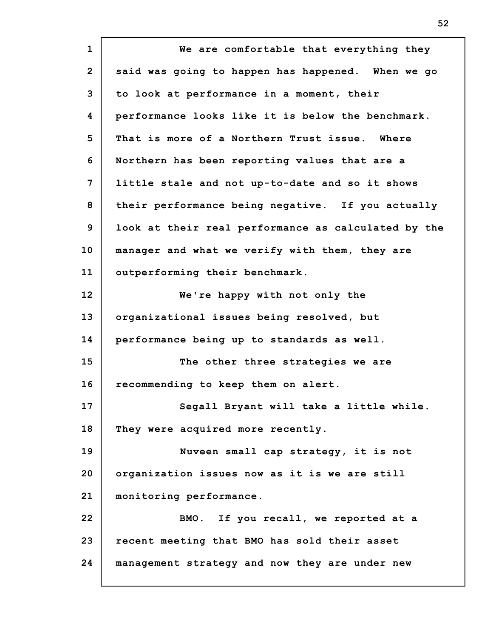**1 2 3 4 5 6 7 8 9 10 11 12 13 14 15 16 17 18 19 20 21 22 23 24 We are comfortable that everything they said was going to happen has happened. When we go to look at performance in a moment, their performance looks like it is below the benchmark. That is more of a Northern Trust issue. Where Northern has been reporting values that are a little stale and not up-to-date and so it shows their performance being negative. If you actually look at their real performance as calculated by the manager and what we verify with them, they are outperforming their benchmark. We're happy with not only the organizational issues being resolved, but performance being up to standards as well. The other three strategies we are recommending to keep them on alert. Segall Bryant will take a little while. They were acquired more recently. Nuveen small cap strategy, it is not organization issues now as it is we are still monitoring performance. BMO. If you recall, we reported at a recent meeting that BMO has sold their asset management strategy and now they are under new**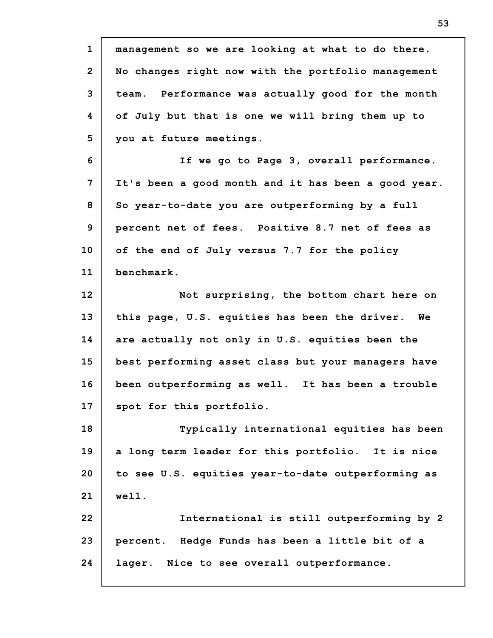**1 2 3 4 5 6 7 8 9 10 11 12 13 14 15 16 17 18 19 20 21 22 23 24 management so we are looking at what to do there. No changes right now with the portfolio management team. Performance was actually good for the month of July but that is one we will bring them up to you at future meetings. If we go to Page 3, overall performance. It's been a good month and it has been a good year. So year-to-date you are outperforming by a full percent net of fees. Positive 8.7 net of fees as of the end of July versus 7.7 for the policy benchmark. Not surprising, the bottom chart here on this page, U.S. equities has been the driver. We are actually not only in U.S. equities been the best performing asset class but your managers have been outperforming as well. It has been a trouble spot for this portfolio. Typically international equities has been a long term leader for this portfolio. It is nice to see U.S. equities year-to-date outperforming as well. International is still outperforming by 2 percent. Hedge Funds has been a little bit of a lager. Nice to see overall outperformance.**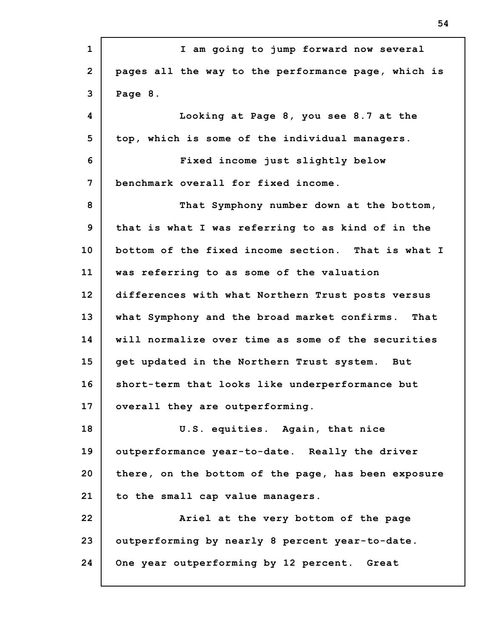| $\mathbf{1}$   | I am going to jump forward now several              |
|----------------|-----------------------------------------------------|
| $\overline{2}$ | pages all the way to the performance page, which is |
| 3              | Page 8.                                             |
| 4              | Looking at Page 8, you see 8.7 at the               |
| 5              | top, which is some of the individual managers.      |
| 6              | Fixed income just slightly below                    |
| 7              | benchmark overall for fixed income.                 |
| 8              | That Symphony number down at the bottom,            |
| 9              | that is what I was referring to as kind of in the   |
| 10             | bottom of the fixed income section. That is what I  |
| 11             | was referring to as some of the valuation           |
| 12             | differences with what Northern Trust posts versus   |
| 13             | what Symphony and the broad market confirms. That   |
| 14             | will normalize over time as some of the securities  |
| 15             | get updated in the Northern Trust system. But       |
| 16             | short-term that looks like underperformance but     |
| 17             | overall they are outperforming.                     |
| 18             | U.S. equities. Again, that nice                     |
| 19             | outperformance year-to-date. Really the driver      |
| 20             | there, on the bottom of the page, has been exposure |
| 21             | to the small cap value managers.                    |
| 22             | Ariel at the very bottom of the page                |
| 23             | outperforming by nearly 8 percent year-to-date.     |
| 24             | One year outperforming by 12 percent. Great         |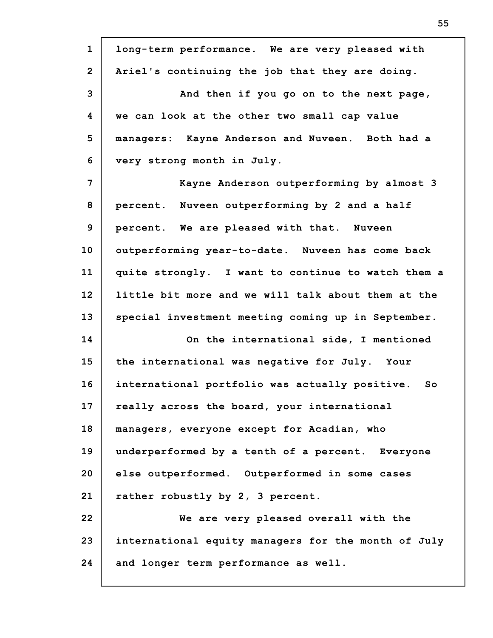| $\mathbf{1}$   | long-term performance. We are very pleased with      |
|----------------|------------------------------------------------------|
| $\overline{2}$ | Ariel's continuing the job that they are doing.      |
| 3              | And then if you go on to the next page,              |
| 4              | we can look at the other two small cap value         |
| 5              | managers: Kayne Anderson and Nuveen. Both had a      |
| 6              | very strong month in July.                           |
| 7              | Kayne Anderson outperforming by almost 3             |
| 8              | percent. Nuveen outperforming by 2 and a half        |
| 9              | percent. We are pleased with that. Nuveen            |
| 10             | outperforming year-to-date. Nuveen has come back     |
| 11             | quite strongly. I want to continue to watch them a   |
| 12             | little bit more and we will talk about them at the   |
| 13             | special investment meeting coming up in September.   |
| 14             | On the international side, I mentioned               |
| 15             | the international was negative for July. Your        |
| 16             | international portfolio was actually positive.<br>So |
| 17             | really across the board, your international          |
| 18             | managers, everyone except for Acadian, who           |
| 19             | underperformed by a tenth of a percent. Everyone     |
| 20             | else outperformed. Outperformed in some cases        |
| 21             | rather robustly by 2, 3 percent.                     |
| 22             | We are very pleased overall with the                 |
| 23             | international equity managers for the month of July  |
| 24             | and longer term performance as well.                 |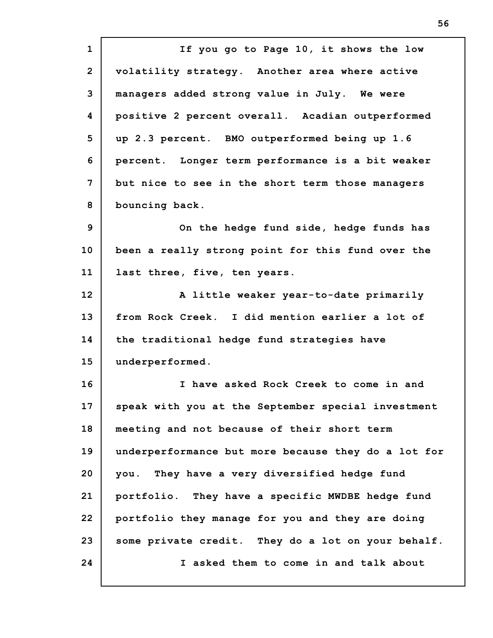**1 2 3 4 5 6 7 8 9 10 11 12 13 14 15 16 17 18 19 20 21 22 23 24 If you go to Page 10, it shows the low volatility strategy. Another area where active managers added strong value in July. We were positive 2 percent overall. Acadian outperformed up 2.3 percent. BMO outperformed being up 1.6 percent. Longer term performance is a bit weaker but nice to see in the short term those managers bouncing back. On the hedge fund side, hedge funds has been a really strong point for this fund over the last three, five, ten years. A little weaker year-to-date primarily from Rock Creek. I did mention earlier a lot of the traditional hedge fund strategies have underperformed. I have asked Rock Creek to come in and speak with you at the September special investment meeting and not because of their short term underperformance but more because they do a lot for you. They have a very diversified hedge fund portfolio. They have a specific MWDBE hedge fund portfolio they manage for you and they are doing some private credit. They do a lot on your behalf. I asked them to come in and talk about**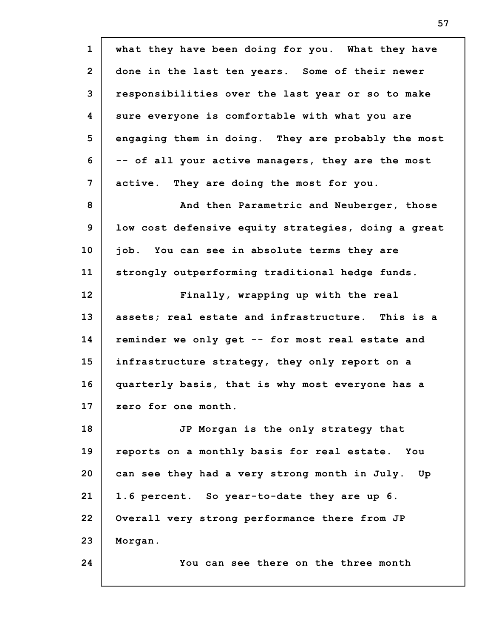| $\mathbf{1}$   | what they have been doing for you. What they have   |
|----------------|-----------------------------------------------------|
| $\overline{2}$ | done in the last ten years. Some of their newer     |
| 3              | responsibilities over the last year or so to make   |
| 4              | sure everyone is comfortable with what you are      |
| 5              | engaging them in doing. They are probably the most  |
| 6              | -- of all your active managers, they are the most   |
| 7              | active. They are doing the most for you.            |
| 8              | And then Parametric and Neuberger, those            |
| 9              | low cost defensive equity strategies, doing a great |
| 10             | job. You can see in absolute terms they are         |
| 11             | strongly outperforming traditional hedge funds.     |
| 12             | Finally, wrapping up with the real                  |
| 13             | assets; real estate and infrastructure. This is a   |
| 14             | reminder we only get -- for most real estate and    |
| 15             | infrastructure strategy, they only report on a      |
| 16             | quarterly basis, that is why most everyone has a    |
| 17             | zero for one month.                                 |
| 18             | JP Morgan is the only strategy that                 |
| 19             | reports on a monthly basis for real estate. You     |
| 20             | can see they had a very strong month in July.<br>Up |
| 21             | 1.6 percent. So year-to-date they are up 6.         |
| 22             | Overall very strong performance there from JP       |
| 23             | Morgan.                                             |
| 24             | You can see there on the three month                |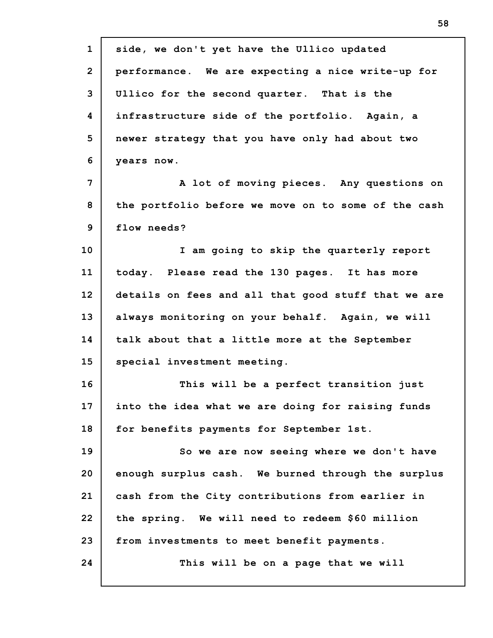| $\mathbf{1}$   | side, we don't yet have the Ullico updated          |
|----------------|-----------------------------------------------------|
| $\overline{2}$ | performance. We are expecting a nice write-up for   |
| 3              | Ullico for the second quarter. That is the          |
| 4              | infrastructure side of the portfolio. Again, a      |
| 5              | newer strategy that you have only had about two     |
| 6              | years now.                                          |
| 7              | A lot of moving pieces. Any questions on            |
| 8              | the portfolio before we move on to some of the cash |
| $\mathbf{9}$   | flow needs?                                         |
| 10             | I am going to skip the quarterly report             |
| 11             | today. Please read the 130 pages. It has more       |
| 12             | details on fees and all that good stuff that we are |
| 13             | always monitoring on your behalf. Again, we will    |
| 14             | talk about that a little more at the September      |
| 15             | special investment meeting.                         |
| 16             | This will be a perfect transition just              |
| 17             | into the idea what we are doing for raising funds   |
| 18             | for benefits payments for September 1st.            |
| 19             | So we are now seeing where we don't have            |
| 20             | enough surplus cash. We burned through the surplus  |
| 21             | cash from the City contributions from earlier in    |
| 22             | the spring. We will need to redeem \$60 million     |
| 23             | from investments to meet benefit payments.          |
| 24             | This will be on a page that we will                 |
|                |                                                     |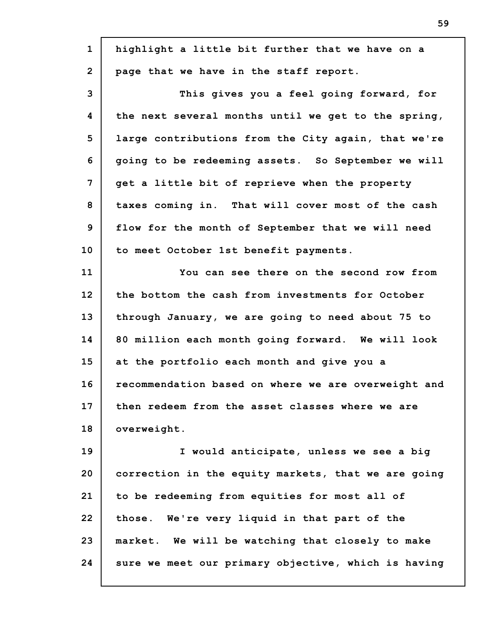| $\mathbf{1}$            | highlight a little bit further that we have on a    |
|-------------------------|-----------------------------------------------------|
| $\overline{2}$          | page that we have in the staff report.              |
| 3                       | This gives you a feel going forward, for            |
| $\overline{\mathbf{4}}$ | the next several months until we get to the spring, |
| 5                       | large contributions from the City again, that we're |
| 6                       | going to be redeeming assets. So September we will  |
| 7                       | get a little bit of reprieve when the property      |
| 8                       | taxes coming in. That will cover most of the cash   |
| 9                       | flow for the month of September that we will need   |
| 10                      | to meet October 1st benefit payments.               |
| 11                      | You can see there on the second row from            |
| 12                      | the bottom the cash from investments for October    |
| 13                      | through January, we are going to need about 75 to   |
| 14                      | 80 million each month going forward. We will look   |
| 15                      | at the portfolio each month and give you a          |
| 16                      | recommendation based on where we are overweight and |
| 17                      | then redeem from the asset classes where we are     |
| 18                      | overweight.                                         |
| 19                      | I would anticipate, unless we see a big             |
| 20                      | correction in the equity markets, that we are going |
| 21                      | to be redeeming from equities for most all of       |
| 22                      | those. We're very liquid in that part of the        |
| 23                      | market. We will be watching that closely to make    |
| 24                      | sure we meet our primary objective, which is having |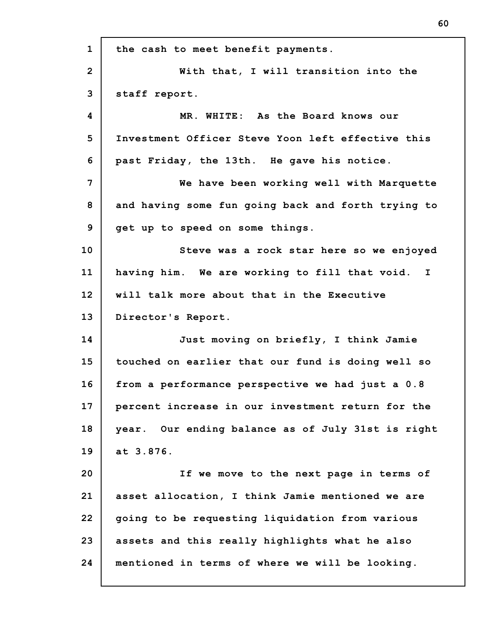| $\mathbf{1}$   | the cash to meet benefit payments.                 |
|----------------|----------------------------------------------------|
| $\overline{2}$ | With that, I will transition into the              |
| 3              | staff report.                                      |
| 4              | MR. WHITE: As the Board knows our                  |
| 5              | Investment Officer Steve Yoon left effective this  |
| 6              | past Friday, the 13th. He gave his notice.         |
| 7              | We have been working well with Marquette           |
| 8              | and having some fun going back and forth trying to |
| 9              | get up to speed on some things.                    |
| 10             | Steve was a rock star here so we enjoyed           |
| 11             | having him. We are working to fill that void. I    |
| 12             | will talk more about that in the Executive         |
| 13             | Director's Report.                                 |
| 14             | Just moving on briefly, I think Jamie              |
| 15             | touched on earlier that our fund is doing well so  |
| 16             | from a performance perspective we had just a 0.8   |
| 17             | percent increase in our investment return for the  |
| 18             | year. Our ending balance as of July 31st is right  |
| 19             | at 3.876.                                          |
| 20             | If we move to the next page in terms of            |
| 21             | asset allocation, I think Jamie mentioned we are   |
| 22             | going to be requesting liquidation from various    |
| 23             | assets and this really highlights what he also     |
| 24             | mentioned in terms of where we will be looking.    |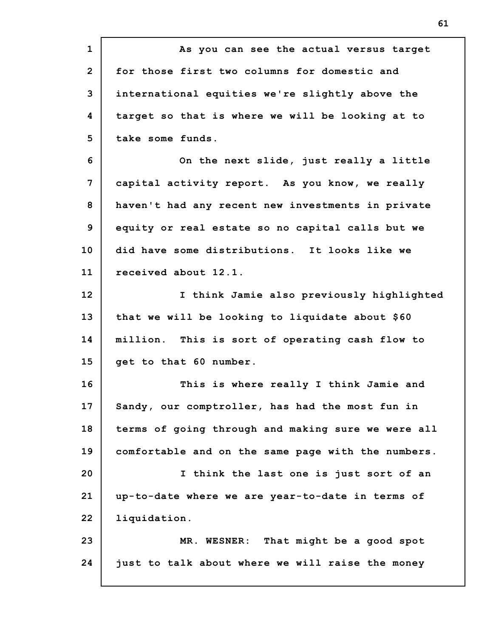**1 2 3 4 5 6 7 8 9 10 11 12 13 14 15 16 17 18 19 20 21 22 23 24 As you can see the actual versus target for those first two columns for domestic and international equities we're slightly above the target so that is where we will be looking at to take some funds. On the next slide, just really a little capital activity report. As you know, we really haven't had any recent new investments in private equity or real estate so no capital calls but we did have some distributions. It looks like we received about 12.1. I think Jamie also previously highlighted that we will be looking to liquidate about \$60 million. This is sort of operating cash flow to get to that 60 number. This is where really I think Jamie and Sandy, our comptroller, has had the most fun in terms of going through and making sure we were all comfortable and on the same page with the numbers. I think the last one is just sort of an up-to-date where we are year-to-date in terms of liquidation. MR. WESNER: That might be a good spot just to talk about where we will raise the money**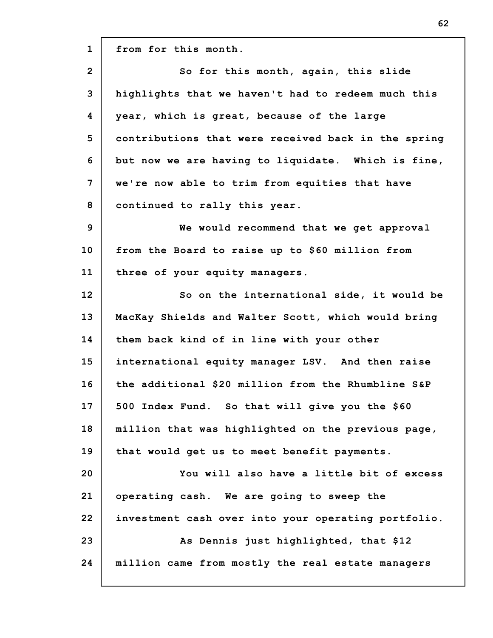**1 2 3 4 5 6 7 8 9 10 11 12 13 14 15 16 17 18 19 20 21 22 23 24 from for this month. So for this month, again, this slide highlights that we haven't had to redeem much this year, which is great, because of the large contributions that were received back in the spring but now we are having to liquidate. Which is fine, we're now able to trim from equities that have continued to rally this year. We would recommend that we get approval from the Board to raise up to \$60 million from three of your equity managers. So on the international side, it would be MacKay Shields and Walter Scott, which would bring them back kind of in line with your other international equity manager LSV. And then raise the additional \$20 million from the Rhumbline S&P 500 Index Fund. So that will give you the \$60 million that was highlighted on the previous page, that would get us to meet benefit payments. You will also have a little bit of excess operating cash. We are going to sweep the investment cash over into your operating portfolio. As Dennis just highlighted, that \$12 million came from mostly the real estate managers**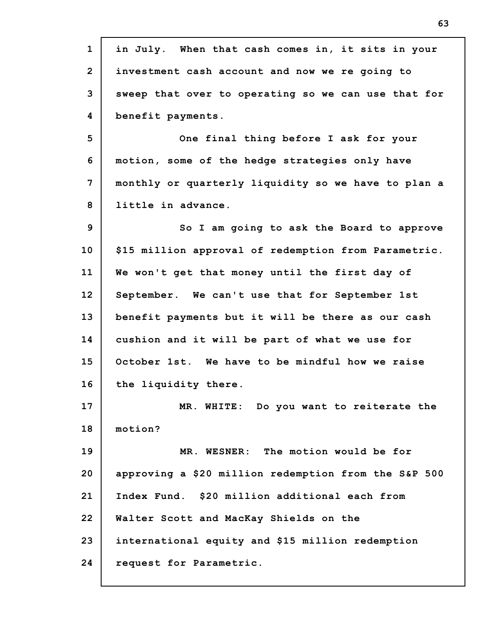| $\mathbf{1}$   | in July. When that cash comes in, it sits in your    |
|----------------|------------------------------------------------------|
| $\overline{2}$ | investment cash account and now we re going to       |
| 3              | sweep that over to operating so we can use that for  |
| 4              | benefit payments.                                    |
| 5              | One final thing before I ask for your                |
| 6              | motion, some of the hedge strategies only have       |
| 7              | monthly or quarterly liquidity so we have to plan a  |
| 8              | little in advance.                                   |
| 9              | So I am going to ask the Board to approve            |
| 10             | \$15 million approval of redemption from Parametric. |
| 11             | We won't get that money until the first day of       |
| 12             | September. We can't use that for September 1st       |
| 13             | benefit payments but it will be there as our cash    |
| 14             | cushion and it will be part of what we use for       |
| 15             | October 1st. We have to be mindful how we raise      |
| 16             | the liquidity there.                                 |
| 17             | MR. WHITE: Do you want to reiterate the              |
| 18             | motion?                                              |
| 19             | MR. WESNER: The motion would be for                  |
| 20             | approving a \$20 million redemption from the S&P 500 |
| 21             | Index Fund. \$20 million additional each from        |
| 22             | Walter Scott and MacKay Shields on the               |
| 23             | international equity and \$15 million redemption     |
| 24             | request for Parametric.                              |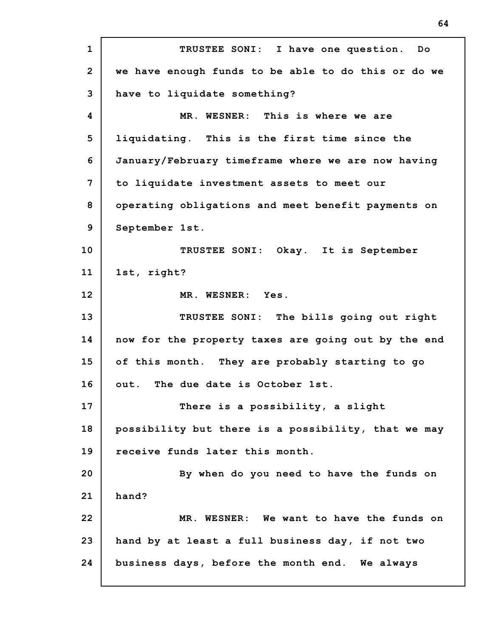**1 2 3 4 5 6 7 8 9 10 11 12 13 14 15 16 17 18 19 20 21 22 23 24 TRUSTEE SONI: I have one question. Do we have enough funds to be able to do this or do we have to liquidate something? MR. WESNER: This is where we are liquidating. This is the first time since the January/February timeframe where we are now having to liquidate investment assets to meet our operating obligations and meet benefit payments on September 1st. TRUSTEE SONI: Okay. It is September 1st, right? MR. WESNER: Yes. TRUSTEE SONI: The bills going out right now for the property taxes are going out by the end of this month. They are probably starting to go out. The due date is October 1st. There is a possibility, a slight possibility but there is a possibility, that we may receive funds later this month. By when do you need to have the funds on hand? MR. WESNER: We want to have the funds on hand by at least a full business day, if not two business days, before the month end. We always**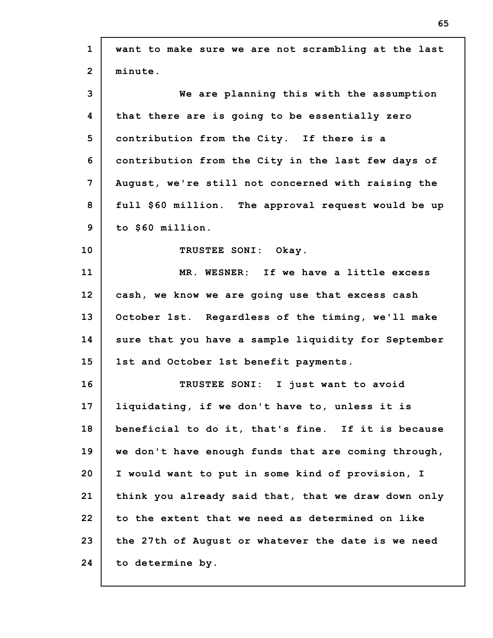| $\mathbf{1}$   | want to make sure we are not scrambling at the last |
|----------------|-----------------------------------------------------|
| $\overline{2}$ | minute.                                             |
| 3              | We are planning this with the assumption            |
| 4              | that there are is going to be essentially zero      |
| 5              | contribution from the City. If there is a           |
| 6              | contribution from the City in the last few days of  |
| $\overline{7}$ | August, we're still not concerned with raising the  |
| 8              | full \$60 million. The approval request would be up |
| 9              | to \$60 million.                                    |
| 10             | TRUSTEE SONI: Okay.                                 |
| 11             | MR. WESNER: If we have a little excess              |
| 12             | cash, we know we are going use that excess cash     |
| 13             | October 1st. Regardless of the timing, we'll make   |
| 14             | sure that you have a sample liquidity for September |
| 15             | 1st and October 1st benefit payments.               |
| 16             | TRUSTEE SONI: I just want to avoid                  |
| 17             | liquidating, if we don't have to, unless it is      |
| 18             | beneficial to do it, that's fine. If it is because  |
| 19             | we don't have enough funds that are coming through, |
| 20             | I would want to put in some kind of provision, I    |
| 21             | think you already said that, that we draw down only |
| 22             | to the extent that we need as determined on like    |
| 23             | the 27th of August or whatever the date is we need  |
| 24             | to determine by.                                    |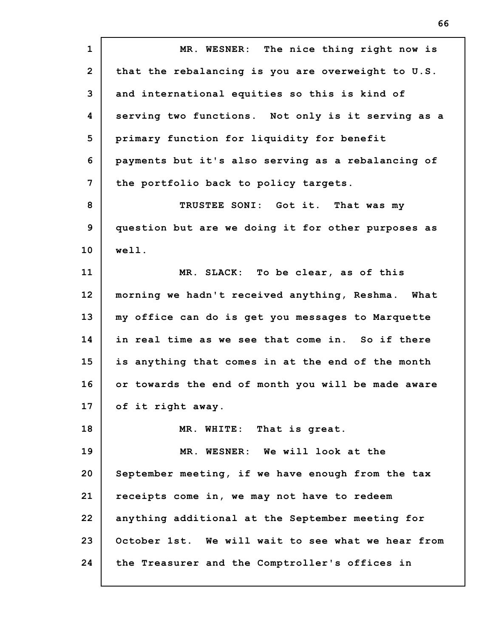**1 2 3 4 5 6 7 8 9 10 11 12 13 14 15 16 17 18 19 20 21 22 23 24 MR. WESNER: The nice thing right now is that the rebalancing is you are overweight to U.S. and international equities so this is kind of serving two functions. Not only is it serving as a primary function for liquidity for benefit payments but it's also serving as a rebalancing of the portfolio back to policy targets. TRUSTEE SONI: Got it. That was my question but are we doing it for other purposes as well. MR. SLACK: To be clear, as of this morning we hadn't received anything, Reshma. What my office can do is get you messages to Marquette in real time as we see that come in. So if there is anything that comes in at the end of the month or towards the end of month you will be made aware of it right away. MR. WHITE: That is great. MR. WESNER: We will look at the September meeting, if we have enough from the tax receipts come in, we may not have to redeem anything additional at the September meeting for October 1st. We will wait to see what we hear from the Treasurer and the Comptroller's offices in**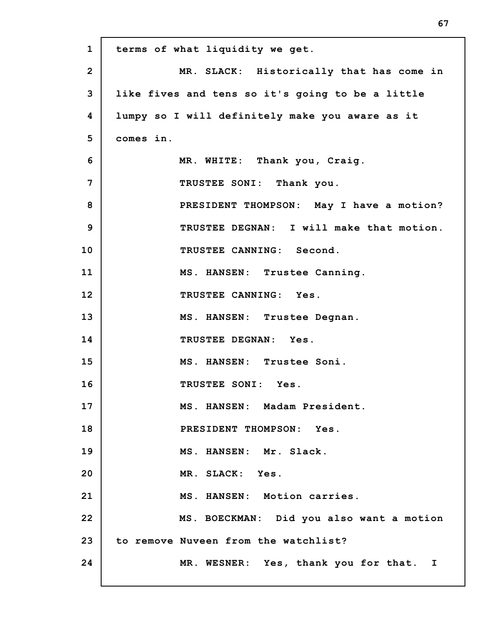| $\mathbf{1}$   | terms of what liquidity we get.                  |
|----------------|--------------------------------------------------|
| $\overline{2}$ | MR. SLACK: Historically that has come in         |
| 3              | like fives and tens so it's going to be a little |
| 4              | lumpy so I will definitely make you aware as it  |
| 5              | comes in.                                        |
| 6              | MR. WHITE: Thank you, Craig.                     |
| 7              | TRUSTEE SONI: Thank you.                         |
| 8              | PRESIDENT THOMPSON: May I have a motion?         |
| 9              | TRUSTEE DEGNAN: I will make that motion.         |
| 10             | TRUSTEE CANNING: Second.                         |
| 11             | MS. HANSEN: Trustee Canning.                     |
| 12             | TRUSTEE CANNING: Yes.                            |
| 13             | MS. HANSEN: Trustee Degnan.                      |
| 14             | TRUSTEE DEGNAN: Yes.                             |
| 15             | MS. HANSEN: Trustee Soni.                        |
| 16             | TRUSTEE SONI: Yes.                               |
| 17             | MS. HANSEN: Madam President.                     |
| 18             | PRESIDENT THOMPSON: Yes.                         |
| 19             | MS. HANSEN: Mr. Slack.                           |
| 20             | MR. SLACK: Yes.                                  |
| 21             | MS. HANSEN: Motion carries.                      |
| 22             | MS. BOECKMAN: Did you also want a motion         |
| 23             | to remove Nuveen from the watchlist?             |
| 24             | MR. WESNER: Yes, thank you for that. I           |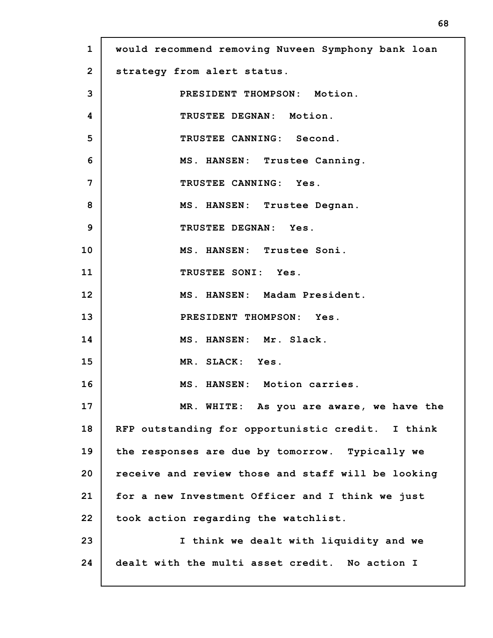| $\mathbf{1}$   | would recommend removing Nuveen Symphony bank loan |
|----------------|----------------------------------------------------|
| $\overline{2}$ | strategy from alert status.                        |
| 3              | PRESIDENT THOMPSON: Motion.                        |
| 4              | TRUSTEE DEGNAN: Motion.                            |
| 5              | TRUSTEE CANNING: Second.                           |
| 6              | MS. HANSEN: Trustee Canning.                       |
| 7              | TRUSTEE CANNING: Yes.                              |
| 8              | MS. HANSEN: Trustee Degnan.                        |
| 9              | TRUSTEE DEGNAN: Yes.                               |
| 10             | MS. HANSEN: Trustee Soni.                          |
| 11             | TRUSTEE SONI: Yes.                                 |
| 12             | MS. HANSEN: Madam President.                       |
| 13             | PRESIDENT THOMPSON: Yes.                           |
| 14             | MS. HANSEN: Mr. Slack.                             |
| 15             | MR. SLACK: Yes.                                    |
| 16             | MS. HANSEN: Motion carries.                        |
| 17             | MR. WHITE: As you are aware, we have the           |
| 18             | RFP outstanding for opportunistic credit. I think  |
| 19             | the responses are due by tomorrow. Typically we    |
| 20             | receive and review those and staff will be looking |
| 21             | for a new Investment Officer and I think we just   |
| 22             | took action regarding the watchlist.               |
| 23             | I think we dealt with liquidity and we             |
| 24             | dealt with the multi asset credit. No action I     |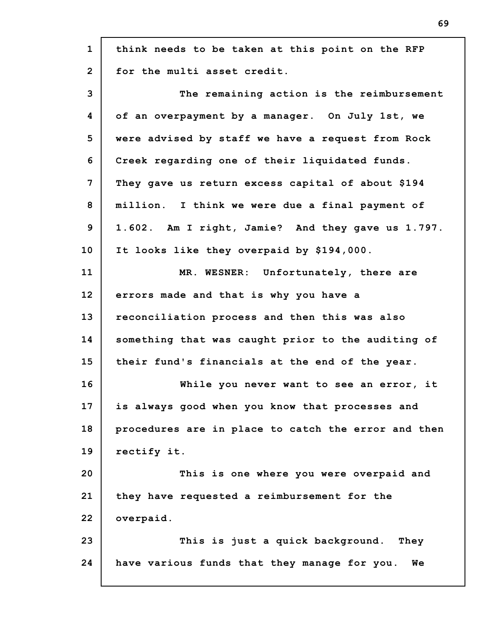| $\mathbf{1}$   | think needs to be taken at this point on the RFP    |
|----------------|-----------------------------------------------------|
| $\overline{2}$ | for the multi asset credit.                         |
| 3              | The remaining action is the reimbursement           |
| 4              | of an overpayment by a manager. On July 1st, we     |
| 5              | were advised by staff we have a request from Rock   |
| 6              | Creek regarding one of their liquidated funds.      |
| $\overline{7}$ | They gave us return excess capital of about \$194   |
| 8              | million. I think we were due a final payment of     |
| 9              | 1.602. Am I right, Jamie? And they gave us 1.797.   |
| 10             | It looks like they overpaid by \$194,000.           |
| 11             | MR. WESNER: Unfortunately, there are                |
| 12             | errors made and that is why you have a              |
| 13             | reconciliation process and then this was also       |
| 14             | something that was caught prior to the auditing of  |
| 15             | their fund's financials at the end of the year.     |
| 16             | While you never want to see an error, it            |
| 17             | is always good when you know that processes and     |
| 18             | procedures are in place to catch the error and then |
| 19             | rectify it.                                         |
| 20             | This is one where you were overpaid and             |
| 21             | they have requested a reimbursement for the         |
| 22             | overpaid.                                           |
| 23             | This is just a quick background. They               |
| 24             | have various funds that they manage for you.<br>We  |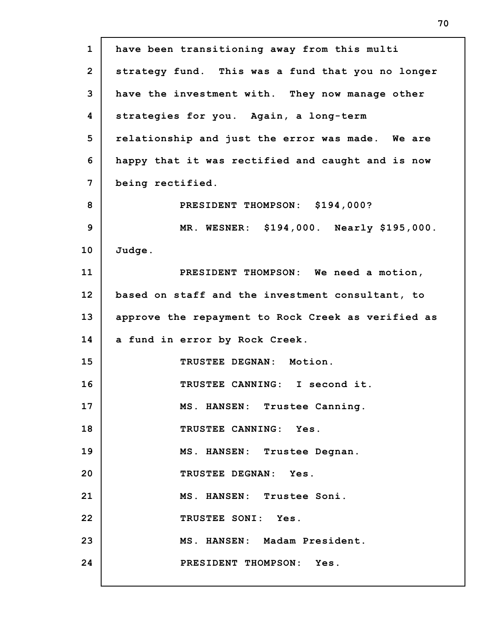| $\mathbf{1}$   | have been transitioning away from this multi       |
|----------------|----------------------------------------------------|
| $\overline{2}$ | strategy fund. This was a fund that you no longer  |
| 3              | have the investment with. They now manage other    |
| 4              | strategies for you. Again, a long-term             |
| 5              | relationship and just the error was made. We are   |
| 6              | happy that it was rectified and caught and is now  |
| 7              | being rectified.                                   |
| 8              | PRESIDENT THOMPSON: \$194,000?                     |
| 9              | MR. WESNER: \$194,000. Nearly \$195,000.           |
| 10             | Judge.                                             |
| 11             | PRESIDENT THOMPSON: We need a motion,              |
| 12             | based on staff and the investment consultant, to   |
| 13             | approve the repayment to Rock Creek as verified as |
| 14             | a fund in error by Rock Creek.                     |
| 15             | TRUSTEE DEGNAN: Motion.                            |
| 16             | TRUSTEE CANNING: I second it.                      |
| 17             | MS. HANSEN: Trustee Canning.                       |
| 18             | TRUSTEE CANNING: Yes.                              |
| 19             | MS. HANSEN: Trustee Degnan.                        |
| 20             | TRUSTEE DEGNAN: Yes.                               |
| 21             | MS. HANSEN: Trustee Soni.                          |
| 22             | TRUSTEE SONI: Yes.                                 |
| 23             | MS. HANSEN: Madam President.                       |
| 24             | PRESIDENT THOMPSON: Yes.                           |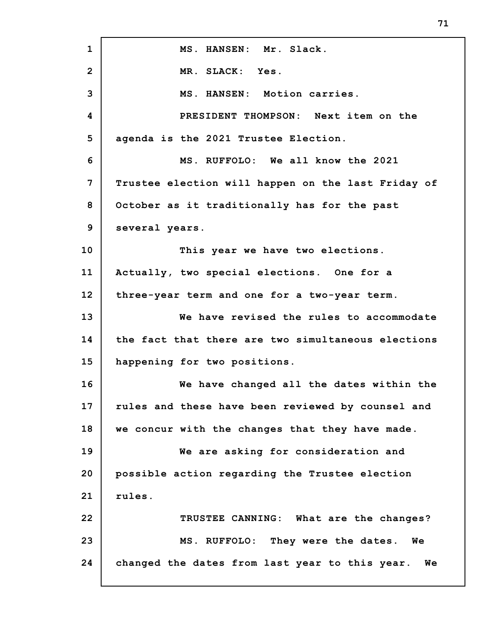**1 2 3 4 5 6 7 8 9 10 11 12 13 14 15 16 17 18 19 20 21 22 23 24 MS. HANSEN: Mr. Slack. MR. SLACK: Yes. MS. HANSEN: Motion carries. PRESIDENT THOMPSON: Next item on the agenda is the 2021 Trustee Election. MS. RUFFOLO: We all know the 2021 Trustee election will happen on the last Friday of October as it traditionally has for the past several years. This year we have two elections. Actually, two special elections. One for a three-year term and one for a two-year term. We have revised the rules to accommodate the fact that there are two simultaneous elections happening for two positions. We have changed all the dates within the rules and these have been reviewed by counsel and we concur with the changes that they have made. We are asking for consideration and possible action regarding the Trustee election rules. TRUSTEE CANNING: What are the changes? MS. RUFFOLO: They were the dates. We changed the dates from last year to this year. We**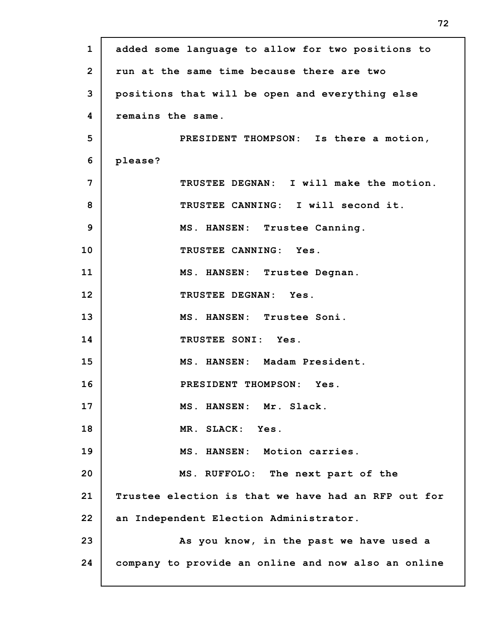| $\mathbf{1}$   | added some language to allow for two positions to   |
|----------------|-----------------------------------------------------|
| $\overline{2}$ | run at the same time because there are two          |
| 3              | positions that will be open and everything else     |
| 4              | remains the same.                                   |
| 5              | PRESIDENT THOMPSON: Is there a motion,              |
| 6              | please?                                             |
| 7              | TRUSTEE DEGNAN: I will make the motion.             |
| 8              | TRUSTEE CANNING: I will second it.                  |
| 9              | MS. HANSEN: Trustee Canning.                        |
| 10             | TRUSTEE CANNING: Yes.                               |
| 11             | MS. HANSEN: Trustee Degnan.                         |
| 12             | TRUSTEE DEGNAN: Yes.                                |
| 13             | MS. HANSEN: Trustee Soni.                           |
| 14             | TRUSTEE SONI: Yes.                                  |
| 15             | MS. HANSEN: Madam President.                        |
| 16             | PRESIDENT THOMPSON: Yes.                            |
| 17             | MS. HANSEN: Mr. Slack.                              |
| 18             | MR. SLACK: Yes.                                     |
| 19             | MS. HANSEN: Motion carries.                         |
| 20             | MS. RUFFOLO: The next part of the                   |
| 21             | Trustee election is that we have had an RFP out for |
| 22             | an Independent Election Administrator.              |
| 23             | As you know, in the past we have used a             |
| 24             | company to provide an online and now also an online |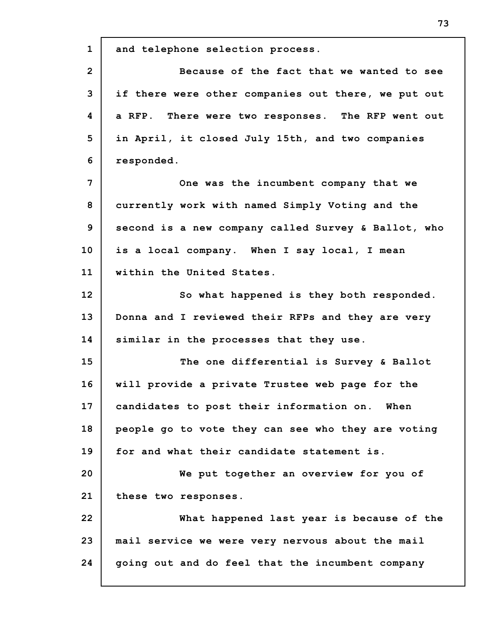**1 2 3 4 5 6 7 8 9 10 11 12 13 14 15 16 17 18 19 20 21 22 23 24 and telephone selection process. Because of the fact that we wanted to see if there were other companies out there, we put out a RFP. There were two responses. The RFP went out in April, it closed July 15th, and two companies responded. One was the incumbent company that we currently work with named Simply Voting and the second is a new company called Survey & Ballot, who is a local company. When I say local, I mean within the United States. So what happened is they both responded. Donna and I reviewed their RFPs and they are very similar in the processes that they use. The one differential is Survey & Ballot will provide a private Trustee web page for the candidates to post their information on. When people go to vote they can see who they are voting for and what their candidate statement is. We put together an overview for you of these two responses. What happened last year is because of the mail service we were very nervous about the mail going out and do feel that the incumbent company**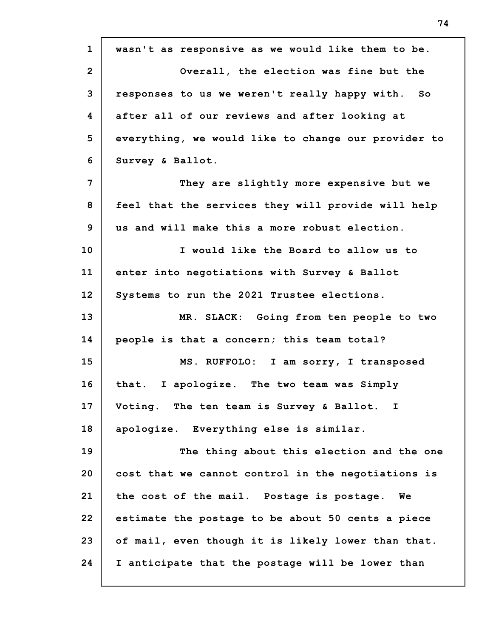| $\mathbf{1}$   | wasn't as responsive as we would like them to be.   |
|----------------|-----------------------------------------------------|
| $\overline{2}$ | Overall, the election was fine but the              |
| 3              | responses to us we weren't really happy with. So    |
| 4              | after all of our reviews and after looking at       |
| 5              | everything, we would like to change our provider to |
| 6              | Survey & Ballot.                                    |
| 7              | They are slightly more expensive but we             |
| 8              | feel that the services they will provide will help  |
| 9              | us and will make this a more robust election.       |
| 10             | I would like the Board to allow us to               |
| 11             | enter into negotiations with Survey & Ballot        |
| 12             | Systems to run the 2021 Trustee elections.          |
| 13             | MR. SLACK: Going from ten people to two             |
| 14             | people is that a concern; this team total?          |
| 15             | MS. RUFFOLO: I am sorry, I transposed               |
| 16             | that. I apologize. The two team was Simply          |
| 17             | Voting. The ten team is Survey & Ballot. I          |
| 18             | apologize. Everything else is similar.              |
| 19             | The thing about this election and the one           |
| 20             | cost that we cannot control in the negotiations is  |
| 21             | the cost of the mail. Postage is postage.<br>We     |
| 22             | estimate the postage to be about 50 cents a piece   |
| 23             | of mail, even though it is likely lower than that.  |
| 24             | I anticipate that the postage will be lower than    |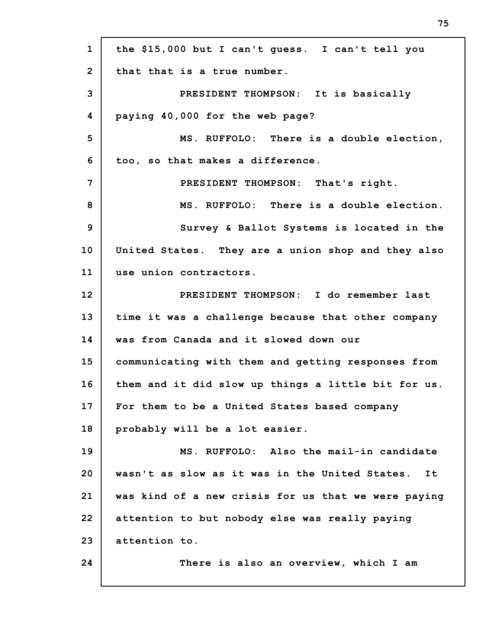| $\mathbf{1}$   | the \$15,000 but I can't guess. I can't tell you     |
|----------------|------------------------------------------------------|
| $\overline{2}$ | that that is a true number.                          |
| 3              | PRESIDENT THOMPSON: It is basically                  |
| 4              | paying 40,000 for the web page?                      |
| 5              | MS. RUFFOLO: There is a double election,             |
| 6              | too, so that makes a difference.                     |
| 7              | PRESIDENT THOMPSON: That's right.                    |
| 8              | MS. RUFFOLO: There is a double election.             |
| 9              | Survey & Ballot Systems is located in the            |
| 10             | United States. They are a union shop and they also   |
| 11             | use union contractors.                               |
| 12             | PRESIDENT THOMPSON: I do remember last               |
| 13             | time it was a challenge because that other company   |
| 14             | was from Canada and it slowed down our               |
| 15             | communicating with them and getting responses from   |
| 16             | them and it did slow up things a little bit for us.  |
| 17             | For them to be a United States based company         |
| 18             | probably will be a lot easier.                       |
| 19             | MS. RUFFOLO: Also the mail-in candidate              |
| 20             | wasn't as slow as it was in the United States.<br>It |
| 21             | was kind of a new crisis for us that we were paying  |
| 22             | attention to but nobody else was really paying       |
| 23             | attention to.                                        |
| 24             | There is also an overview, which I am                |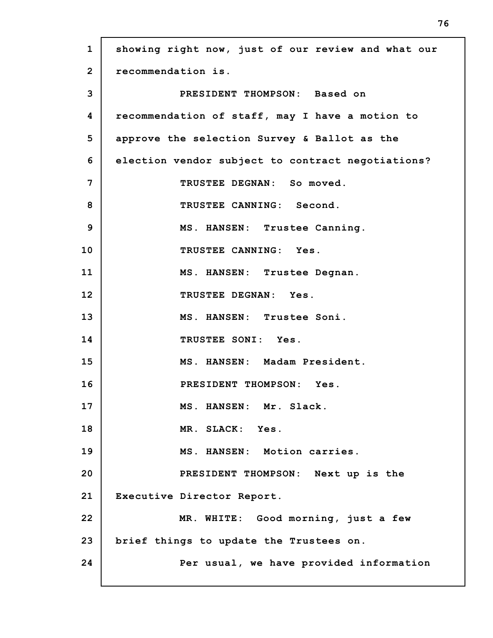| $\mathbf{1}$   | showing right now, just of our review and what our |
|----------------|----------------------------------------------------|
| $\overline{2}$ | recommendation is.                                 |
| 3              | PRESIDENT THOMPSON: Based on                       |
| 4              | recommendation of staff, may I have a motion to    |
| 5              | approve the selection Survey & Ballot as the       |
| 6              | election vendor subject to contract negotiations?  |
| 7              | TRUSTEE DEGNAN: So moved.                          |
| 8              | TRUSTEE CANNING: Second.                           |
| 9              | MS. HANSEN: Trustee Canning.                       |
| 10             | TRUSTEE CANNING: Yes.                              |
| 11             | MS. HANSEN: Trustee Degnan.                        |
| 12             | TRUSTEE DEGNAN: Yes.                               |
| 13             | MS. HANSEN: Trustee Soni.                          |
| 14             | TRUSTEE SONI: Yes.                                 |
| 15             | MS. HANSEN: Madam President.                       |
| 16             | PRESIDENT THOMPSON: Yes.                           |
| 17             | MS. HANSEN: Mr. Slack.                             |
| 18             | MR. SLACK: Yes.                                    |
| 19             | MS. HANSEN: Motion carries.                        |
| 20             | PRESIDENT THOMPSON: Next up is the                 |
| 21             | Executive Director Report.                         |
| 22             | MR. WHITE: Good morning, just a few                |
| 23             | brief things to update the Trustees on.            |
| 24             | Per usual, we have provided information            |
|                |                                                    |

г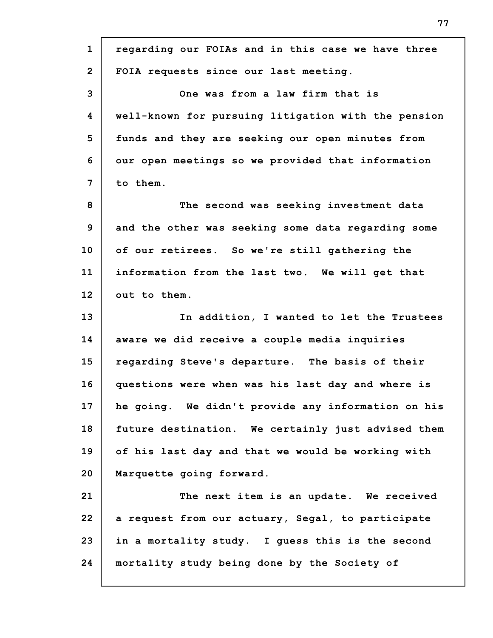| $\mathbf{1}$   | regarding our FOIAs and in this case we have three  |
|----------------|-----------------------------------------------------|
| $\overline{2}$ | FOIA requests since our last meeting.               |
| 3              | One was from a law firm that is                     |
| 4              | well-known for pursuing litigation with the pension |
| 5              | funds and they are seeking our open minutes from    |
| 6              | our open meetings so we provided that information   |
| 7              | to them.                                            |
| 8              | The second was seeking investment data              |
| 9              | and the other was seeking some data regarding some  |
| 10             | of our retirees. So we're still gathering the       |
| 11             | information from the last two. We will get that     |
| 12             | out to them.                                        |
| 13             | In addition, I wanted to let the Trustees           |
|                |                                                     |
| 14             | aware we did receive a couple media inquiries       |
| 15             | regarding Steve's departure. The basis of their     |
| 16             | questions were when was his last day and where is   |
| 17             | he going. We didn't provide any information on his  |
| 18             | future destination. We certainly just advised them  |
| 19             | of his last day and that we would be working with   |
| 20             | Marquette going forward.                            |
| 21             | The next item is an update. We received             |
| 22             | a request from our actuary, Segal, to participate   |
| 23             | in a mortality study. I guess this is the second    |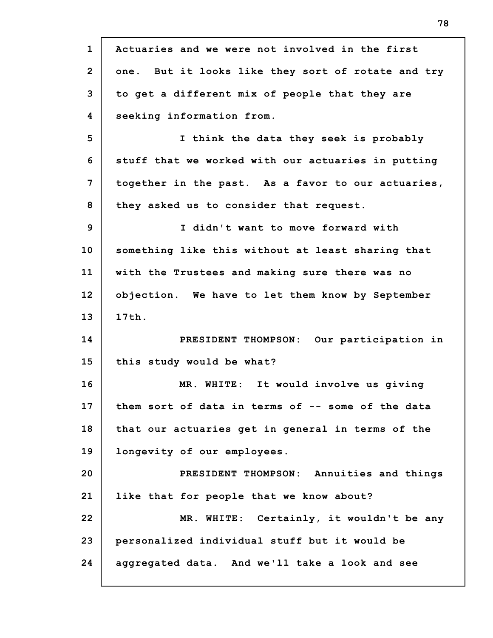**1 2 3 4 5 6 7 8 9 10 11 12 13 14 15 16 17 18 19 20 21 22 23 24 Actuaries and we were not involved in the first one. But it looks like they sort of rotate and try to get a different mix of people that they are seeking information from. I think the data they seek is probably stuff that we worked with our actuaries in putting together in the past. As a favor to our actuaries, they asked us to consider that request. I didn't want to move forward with something like this without at least sharing that with the Trustees and making sure there was no objection. We have to let them know by September 17th. PRESIDENT THOMPSON: Our participation in this study would be what? MR. WHITE: It would involve us giving them sort of data in terms of -- some of the data that our actuaries get in general in terms of the longevity of our employees. PRESIDENT THOMPSON: Annuities and things like that for people that we know about? MR. WHITE: Certainly, it wouldn't be any personalized individual stuff but it would be aggregated data. And we'll take a look and see**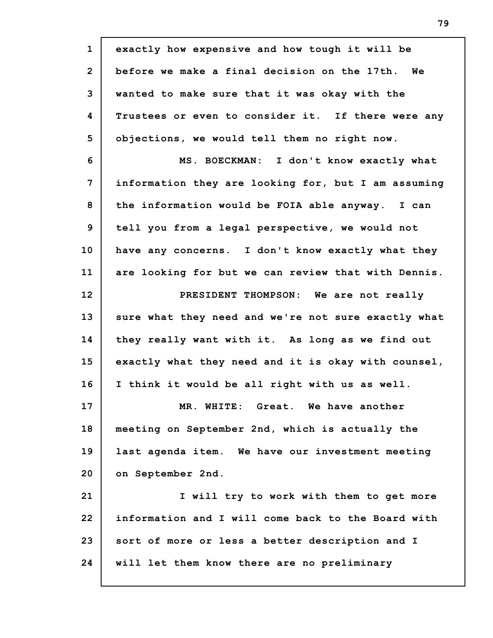**1 2 3 4 5 6 7 8 9 10 11 12 13 14 15 16 17 18 19 20 21 22 23 24 exactly how expensive and how tough it will be before we make a final decision on the 17th. We wanted to make sure that it was okay with the Trustees or even to consider it. If there were any objections, we would tell them no right now. MS. BOECKMAN: I don't know exactly what information they are looking for, but I am assuming the information would be FOIA able anyway. I can tell you from a legal perspective, we would not have any concerns. I don't know exactly what they are looking for but we can review that with Dennis. PRESIDENT THOMPSON: We are not really sure what they need and we're not sure exactly what they really want with it. As long as we find out exactly what they need and it is okay with counsel, I think it would be all right with us as well. MR. WHITE: Great. We have another meeting on September 2nd, which is actually the last agenda item. We have our investment meeting on September 2nd. I will try to work with them to get more information and I will come back to the Board with sort of more or less a better description and I will let them know there are no preliminary**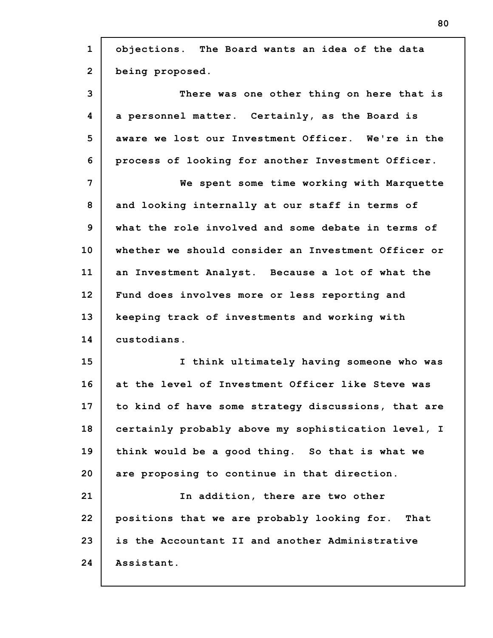| $\mathbf{1}$   | objections. The Board wants an idea of the data     |
|----------------|-----------------------------------------------------|
| $\overline{2}$ | being proposed.                                     |
| 3              | There was one other thing on here that is           |
| 4              | a personnel matter. Certainly, as the Board is      |
| 5              | aware we lost our Investment Officer. We're in the  |
| 6              | process of looking for another Investment Officer.  |
| 7              | We spent some time working with Marquette           |
| 8              | and looking internally at our staff in terms of     |
| 9              | what the role involved and some debate in terms of  |
| 10             | whether we should consider an Investment Officer or |
| 11             | an Investment Analyst. Because a lot of what the    |
| 12             | Fund does involves more or less reporting and       |
| 13             | keeping track of investments and working with       |
| 14             | custodians.                                         |
| 15             | I think ultimately having someone who was           |
| 16             | at the level of Investment Officer like Steve was   |
| 17             | to kind of have some strategy discussions, that are |
| 18             | certainly probably above my sophistication level, I |
| 19             | think would be a good thing. So that is what we     |
| 20             | are proposing to continue in that direction.        |
| 21             | In addition, there are two other                    |
| 22             | positions that we are probably looking for.<br>That |
| 23             | is the Accountant II and another Administrative     |
| 24             | Assistant.                                          |

г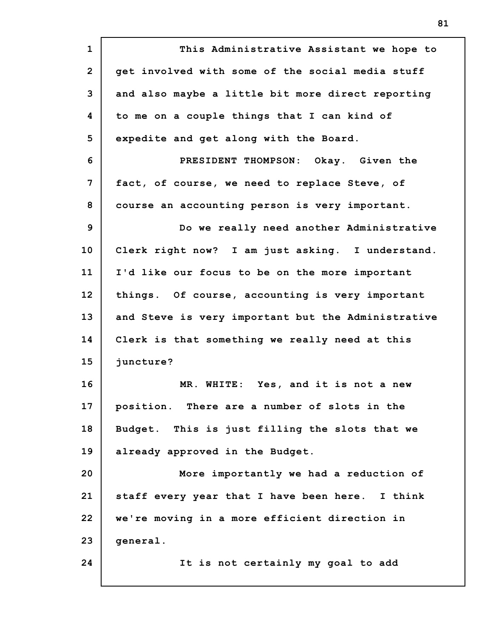| $\mathbf{1}$   | This Administrative Assistant we hope to           |
|----------------|----------------------------------------------------|
| $\overline{2}$ | get involved with some of the social media stuff   |
| 3              | and also maybe a little bit more direct reporting  |
| 4              | to me on a couple things that I can kind of        |
| 5              | expedite and get along with the Board.             |
| 6              | PRESIDENT THOMPSON: Okay. Given the                |
| 7              | fact, of course, we need to replace Steve, of      |
| 8              | course an accounting person is very important.     |
| 9              | Do we really need another Administrative           |
| 10             | Clerk right now? I am just asking. I understand.   |
| 11             | I'd like our focus to be on the more important     |
| 12             | things. Of course, accounting is very important    |
| 13             | and Steve is very important but the Administrative |
| 14             | Clerk is that something we really need at this     |
| 15             | juncture?                                          |
| 16             | MR. WHITE: Yes, and it is not a new                |
| 17             | position. There are a number of slots in the       |
| 18             | Budget. This is just filling the slots that we     |
| 19             | already approved in the Budget.                    |
| 20             | More importantly we had a reduction of             |
| 21             | staff every year that I have been here. I think    |
| 22             | we're moving in a more efficient direction in      |
| 23             | general.                                           |
| 24             | It is not certainly my goal to add                 |
|                |                                                    |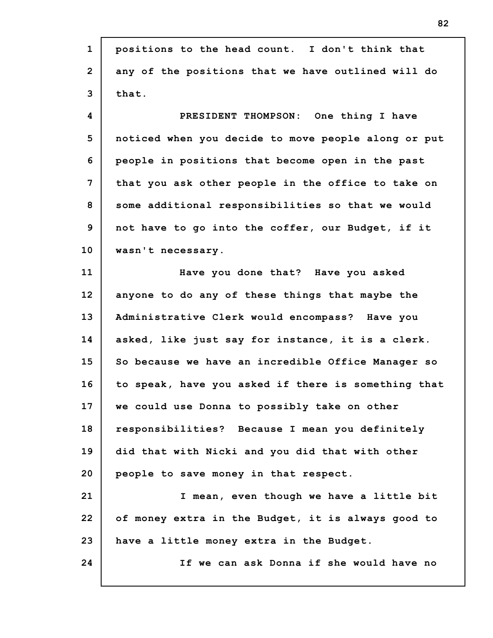| $\mathbf{1}$    | positions to the head count. I don't think that     |
|-----------------|-----------------------------------------------------|
| $\overline{2}$  | any of the positions that we have outlined will do  |
| 3               | that.                                               |
| 4               | PRESIDENT THOMPSON: One thing I have                |
| 5               | noticed when you decide to move people along or put |
| 6               | people in positions that become open in the past    |
| 7               | that you ask other people in the office to take on  |
| 8               | some additional responsibilities so that we would   |
| 9               | not have to go into the coffer, our Budget, if it   |
| 10              | wasn't necessary.                                   |
| 11              | Have you done that? Have you asked                  |
| 12 <sub>2</sub> | anyone to do any of these things that maybe the     |
| 13              | Administrative Clerk would encompass? Have you      |
| 14              | asked, like just say for instance, it is a clerk.   |
| 15              | So because we have an incredible Office Manager so  |
| 16              | to speak, have you asked if there is something that |
| 17              | we could use Donna to possibly take on other        |
| 18              | responsibilities? Because I mean you definitely     |
| 19              | did that with Nicki and you did that with other     |
| 20              | people to save money in that respect.               |
| 21              | I mean, even though we have a little bit            |
| 22              | of money extra in the Budget, it is always good to  |
| 23              | have a little money extra in the Budget.            |
| 24              | If we can ask Donna if she would have no            |
|                 |                                                     |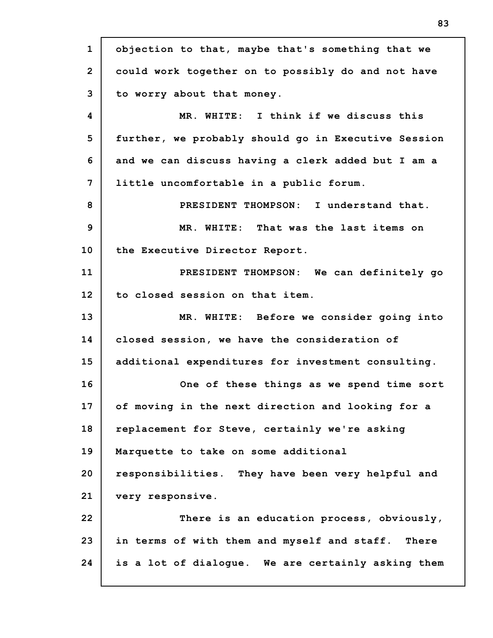**1 2 3 4 5 6 7 8 9 10 11 12 13 14 15 16 17 18 19 20 21 22 23 24 objection to that, maybe that's something that we could work together on to possibly do and not have to worry about that money. MR. WHITE: I think if we discuss this further, we probably should go in Executive Session and we can discuss having a clerk added but I am a little uncomfortable in a public forum. PRESIDENT THOMPSON: I understand that. MR. WHITE: That was the last items on the Executive Director Report. PRESIDENT THOMPSON: We can definitely go to closed session on that item. MR. WHITE: Before we consider going into closed session, we have the consideration of additional expenditures for investment consulting. One of these things as we spend time sort of moving in the next direction and looking for a replacement for Steve, certainly we're asking Marquette to take on some additional responsibilities. They have been very helpful and very responsive. There is an education process, obviously, in terms of with them and myself and staff. There is a lot of dialogue. We are certainly asking them**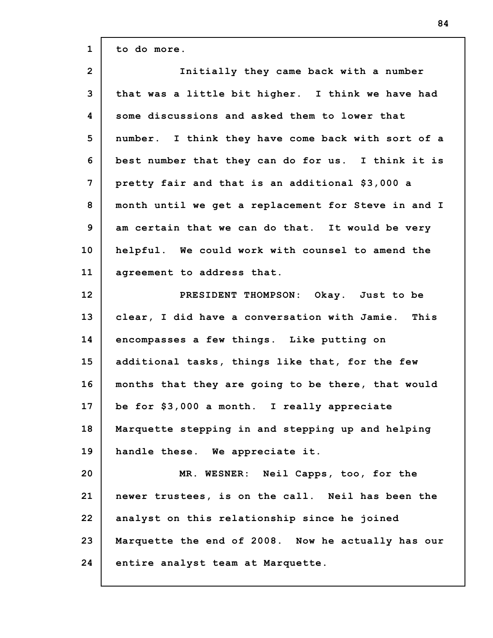| $\mathbf{1}$   | to do more.                                         |
|----------------|-----------------------------------------------------|
| $\overline{2}$ | Initially they came back with a number              |
| 3              | that was a little bit higher. I think we have had   |
| 4              | some discussions and asked them to lower that       |
| 5              | number. I think they have come back with sort of a  |
| 6              | best number that they can do for us. I think it is  |
| 7              | pretty fair and that is an additional \$3,000 a     |
| 8              | month until we get a replacement for Steve in and I |
| 9              | am certain that we can do that. It would be very    |
| 10             | helpful. We could work with counsel to amend the    |
| 11             | agreement to address that.                          |
| 12             | PRESIDENT THOMPSON: Okay. Just to be                |
| 13             | clear, I did have a conversation with Jamie. This   |
| 14             | encompasses a few things. Like putting on           |
| 15             | additional tasks, things like that, for the few     |
| 16             | months that they are going to be there, that would  |
| 17             | be for \$3,000 a month. I really appreciate         |
| 18             | Marquette stepping in and stepping up and helping   |
| 19             | handle these. We appreciate it.                     |
| 20             | MR. WESNER: Neil Capps, too, for the                |
| 21             | newer trustees, is on the call. Neil has been the   |
| 22             | analyst on this relationship since he joined        |
| 23             | Marquette the end of 2008. Now he actually has our  |
| 24             | entire analyst team at Marquette.                   |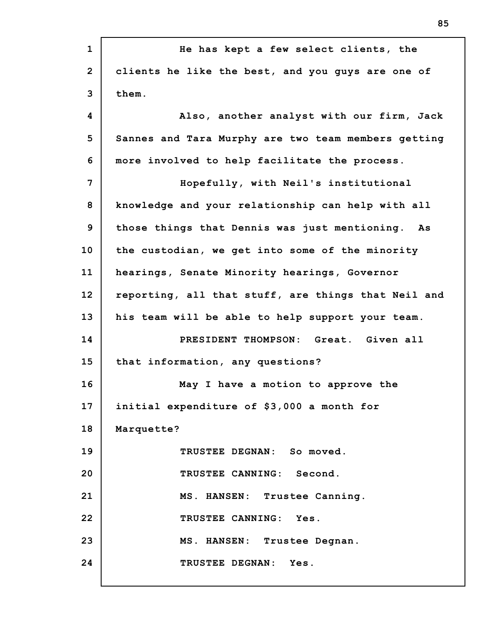| He has kept a few select clients, the               |
|-----------------------------------------------------|
| clients he like the best, and you guys are one of   |
| them.                                               |
| Also, another analyst with our firm, Jack           |
| Sannes and Tara Murphy are two team members getting |
| more involved to help facilitate the process.       |
| Hopefully, with Neil's institutional                |
| knowledge and your relationship can help with all   |
| those things that Dennis was just mentioning. As    |
| the custodian, we get into some of the minority     |
| hearings, Senate Minority hearings, Governor        |
| reporting, all that stuff, are things that Neil and |
| his team will be able to help support your team.    |
| PRESIDENT THOMPSON: Great. Given all                |
| that information, any questions?                    |
| May I have a motion to approve the                  |
| initial expenditure of \$3,000 a month for          |
| Marquette?                                          |
| TRUSTEE DEGNAN: So moved.                           |
| TRUSTEE CANNING: Second.                            |
| MS. HANSEN: Trustee Canning.                        |
| TRUSTEE CANNING: Yes.                               |
| MS. HANSEN: Trustee Degnan.                         |
| TRUSTEE DEGNAN: Yes.                                |
|                                                     |

I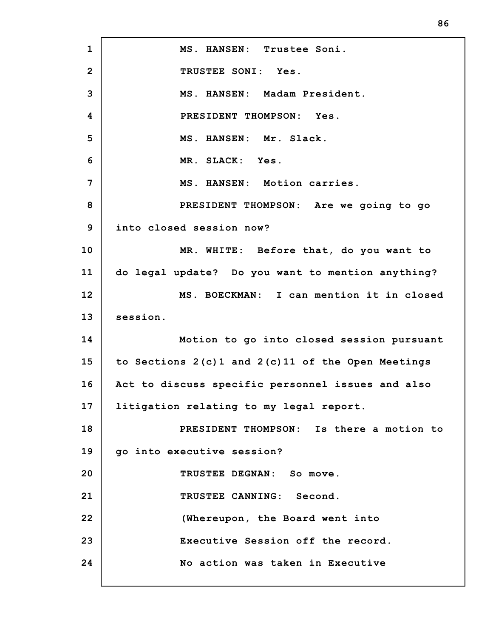**1 2 3 4 5 6 7 8 9 10 11 12 13 14 15 16 17 18 19 20 21 22 23 24 MS. HANSEN: Trustee Soni. TRUSTEE SONI: Yes. MS. HANSEN: Madam President. PRESIDENT THOMPSON: Yes. MS. HANSEN: Mr. Slack. MR. SLACK: Yes. MS. HANSEN: Motion carries. PRESIDENT THOMPSON: Are we going to go into closed session now? MR. WHITE: Before that, do you want to do legal update? Do you want to mention anything? MS. BOECKMAN: I can mention it in closed session. Motion to go into closed session pursuant to Sections 2(c)1 and 2(c)11 of the Open Meetings Act to discuss specific personnel issues and also litigation relating to my legal report. PRESIDENT THOMPSON: Is there a motion to go into executive session? TRUSTEE DEGNAN: So move. TRUSTEE CANNING: Second. (Whereupon, the Board went into Executive Session off the record. No action was taken in Executive**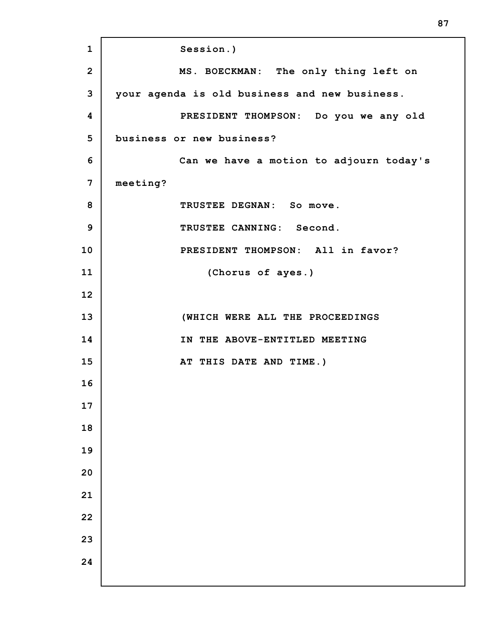**Session.) MS. BOECKMAN: The only thing left on your agenda is old business and new business. PRESIDENT THOMPSON: Do you we any old business or new business? Can we have a motion to adjourn today's meeting? TRUSTEE DEGNAN: So move. TRUSTEE CANNING: Second. PRESIDENT THOMPSON: All in favor? (Chorus of ayes.) (WHICH WERE ALL THE PROCEEDINGS IN THE ABOVE-ENTITLED MEETING AT THIS DATE AND TIME.)**